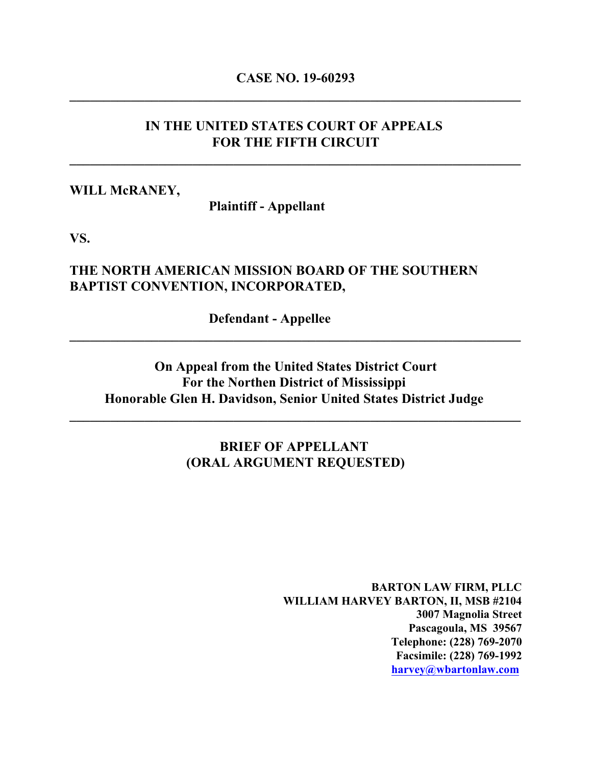# **CASE NO. 19-60293 \_\_\_\_\_\_\_\_\_\_\_\_\_\_\_\_\_\_\_\_\_\_\_\_\_\_\_\_\_\_\_\_\_\_\_\_\_\_\_\_\_\_\_\_\_\_\_\_\_\_\_\_\_\_\_\_\_\_\_\_\_\_\_\_\_\_**

### **IN THE UNITED STATES COURT OF APPEALS FOR THE FIFTH CIRCUIT**

**\_\_\_\_\_\_\_\_\_\_\_\_\_\_\_\_\_\_\_\_\_\_\_\_\_\_\_\_\_\_\_\_\_\_\_\_\_\_\_\_\_\_\_\_\_\_\_\_\_\_\_\_\_\_\_\_\_\_\_\_\_\_\_\_\_\_**

### **WILL McRANEY,**

**Plaintiff - Appellant** 

**VS.**

### **THE NORTH AMERICAN MISSION BOARD OF THE SOUTHERN BAPTIST CONVENTION, INCORPORATED,**

**Defendant - Appellee** 

# **On Appeal from the United States District Court For the Northen District of Mississippi Honorable Glen H. Davidson, Senior United States District Judge**

**\_\_\_\_\_\_\_\_\_\_\_\_\_\_\_\_\_\_\_\_\_\_\_\_\_\_\_\_\_\_\_\_\_\_\_\_\_\_\_\_\_\_\_\_\_\_\_\_\_\_\_\_\_\_\_\_\_\_\_\_\_\_\_\_\_\_**

**\_\_\_\_\_\_\_\_\_\_\_\_\_\_\_\_\_\_\_\_\_\_\_\_\_\_\_\_\_\_\_\_\_\_\_\_\_\_\_\_\_\_\_\_\_\_\_\_\_\_\_\_\_\_\_\_\_\_\_\_\_\_\_\_\_\_**

# **BRIEF OF APPELLANT (ORAL ARGUMENT REQUESTED)**

**BARTON LAW FIRM, PLLC WILLIAM HARVEY BARTON, II, MSB #2104 3007 Magnolia Street Pascagoula, MS 39567 Telephone: (228) 769-2070 Facsimile: (228) 769-1992 [harvey@wbartonlaw.com](mailto:harvey@wbartonlaw.com)**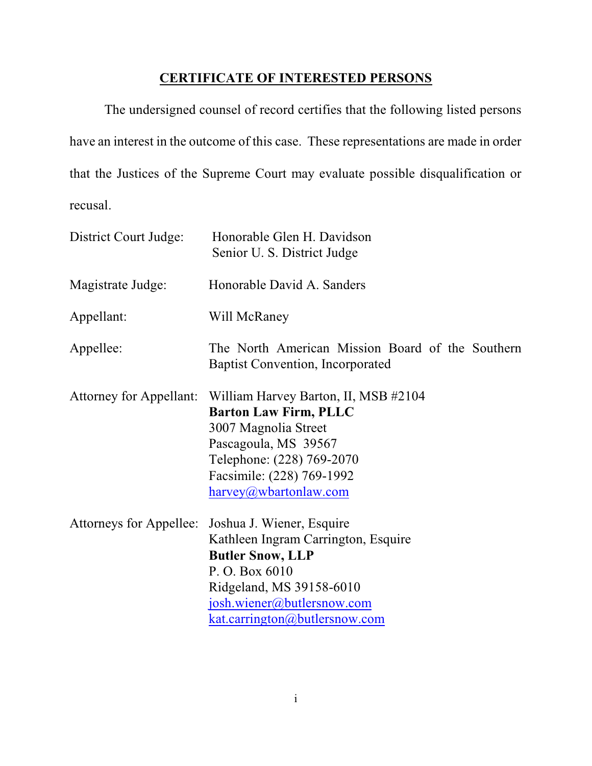# **CERTIFICATE OF INTERESTED PERSONS**

The undersigned counsel of record certifies that the following listed persons have an interest in the outcome of this case. These representations are made in order that the Justices of the Supreme Court may evaluate possible disqualification or recusal.

| District Court Judge:          | Honorable Glen H. Davidson<br>Senior U. S. District Judge                                                                                                                                                |  |  |  |  |  |
|--------------------------------|----------------------------------------------------------------------------------------------------------------------------------------------------------------------------------------------------------|--|--|--|--|--|
| Magistrate Judge:              | Honorable David A. Sanders                                                                                                                                                                               |  |  |  |  |  |
| Appellant:                     | Will McRaney                                                                                                                                                                                             |  |  |  |  |  |
| Appellee:                      | The North American Mission Board of the Southern<br><b>Baptist Convention, Incorporated</b>                                                                                                              |  |  |  |  |  |
| <b>Attorney for Appellant:</b> | William Harvey Barton, II, MSB #2104<br><b>Barton Law Firm, PLLC</b><br>3007 Magnolia Street<br>Pascagoula, MS 39567<br>Telephone: (228) 769-2070<br>Facsimile: (228) 769-1992<br>harvey@wbartonlaw.com  |  |  |  |  |  |
| Attorneys for Appellee:        | Joshua J. Wiener, Esquire<br>Kathleen Ingram Carrington, Esquire<br><b>Butler Snow, LLP</b><br>P. O. Box 6010<br>Ridgeland, MS 39158-6010<br>josh.wiener@butlersnow.com<br>kat.carrington@butlersnow.com |  |  |  |  |  |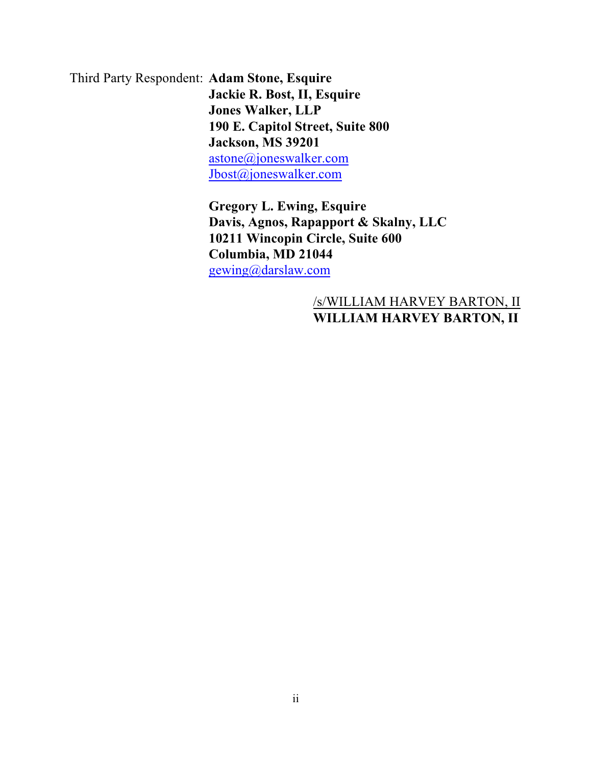Third Party Respondent: **Adam Stone, Esquire Jackie R. Bost, II, Esquire Jones Walker, LLP 190 E. Capitol Street, Suite 800 Jackson, MS 39201** [astone@joneswalker.com](mailto:astone@joneswalker.com) [Jbost@joneswalker.com](mailto:Jbost@joneswalker.com)

> **Gregory L. Ewing, Esquire Davis, Agnos, Rapapport & Skalny, LLC 10211 Wincopin Circle, Suite 600 Columbia, MD 21044** [gewing@darslaw.com](mailto:gewing@darslaw.com)

# /s/WILLIAM HARVEY BARTON, II **WILLIAM HARVEY BARTON, II**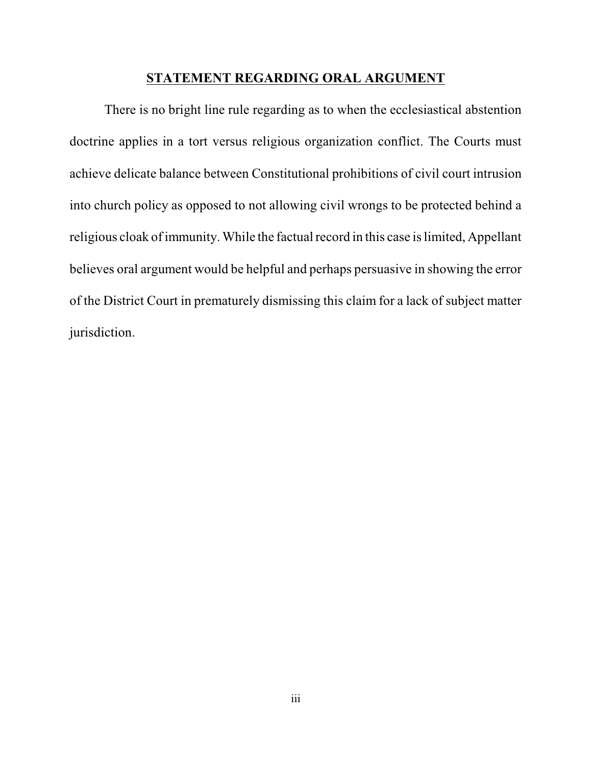### **STATEMENT REGARDING ORAL ARGUMENT**

There is no bright line rule regarding as to when the ecclesiastical abstention doctrine applies in a tort versus religious organization conflict. The Courts must achieve delicate balance between Constitutional prohibitions of civil court intrusion into church policy as opposed to not allowing civil wrongs to be protected behind a religious cloak of immunity. While the factual record in this case is limited, Appellant believes oral argument would be helpful and perhaps persuasive in showing the error of the District Court in prematurely dismissing this claim for a lack of subject matter jurisdiction.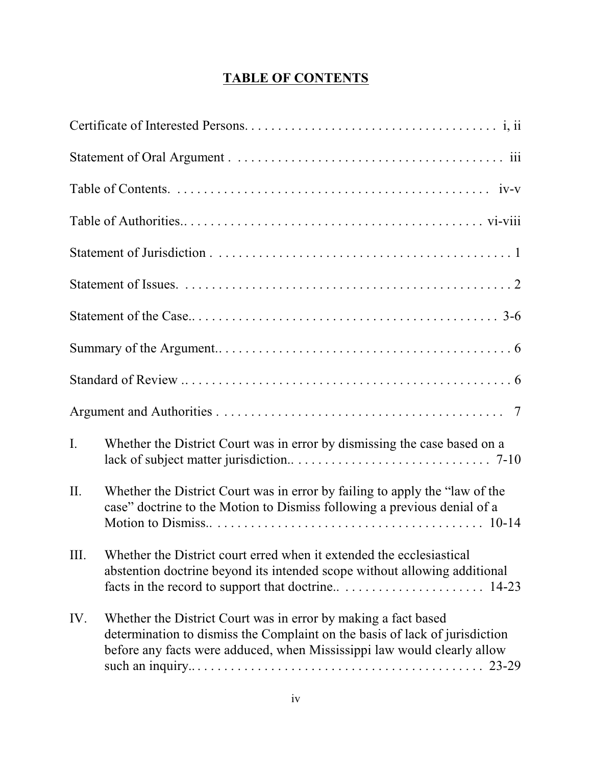# **TABLE OF CONTENTS**

| $\mathbf{I}$ . | Whether the District Court was in error by dismissing the case based on a                                                                                                                                                |
|----------------|--------------------------------------------------------------------------------------------------------------------------------------------------------------------------------------------------------------------------|
| II.            | Whether the District Court was in error by failing to apply the "law of the<br>case" doctrine to the Motion to Dismiss following a previous denial of a                                                                  |
|                | III. Whether the District court erred when it extended the ecclesiastical<br>abstention doctrine beyond its intended scope without allowing additional                                                                   |
| IV.            | Whether the District Court was in error by making a fact based<br>determination to dismiss the Complaint on the basis of lack of jurisdiction<br>before any facts were adduced, when Mississippi law would clearly allow |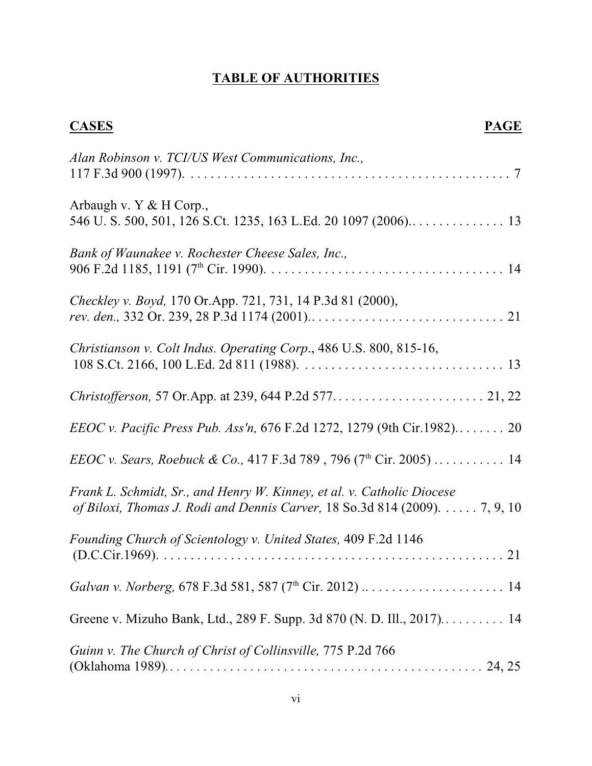# **TABLE OF AUTHORITIES**

| <b>CASES</b><br><b>PAGE</b>                                                                                                                                    |
|----------------------------------------------------------------------------------------------------------------------------------------------------------------|
| Alan Robinson v. TCI/US West Communications, Inc.,                                                                                                             |
| Arbaugh v. Y & H Corp.,                                                                                                                                        |
| Bank of Waunakee v. Rochester Cheese Sales, Inc.,                                                                                                              |
| Checkley v. Boyd, 170 Or.App. 721, 731, 14 P.3d 81 (2000),                                                                                                     |
| Christianson v. Colt Indus. Operating Corp., 486 U.S. 800, 815-16,                                                                                             |
|                                                                                                                                                                |
| <i>EEOC v. Pacific Press Pub. Ass'n,</i> 676 F.2d 1272, 1279 (9th Cir.1982) 20                                                                                 |
| <i>EEOC v. Sears, Roebuck &amp; Co.,</i> 417 F.3d 789, 796 (7 <sup>th</sup> Cir. 2005)  14                                                                     |
| Frank L. Schmidt, Sr., and Henry W. Kinney, et al. v. Catholic Diocese<br>of Biloxi, Thomas J. Rodi and Dennis Carver, 18 So.3d 814 (2009). $\dots$ . 7, 9, 10 |
| Founding Church of Scientology v. United States, 409 F.2d 1146                                                                                                 |
| Galvan v. Norberg, 678 F.3d 581, 587 (7 <sup>th</sup> Cir. 2012)  14                                                                                           |
|                                                                                                                                                                |
| Guinn v. The Church of Christ of Collinsville, 775 P.2d 766                                                                                                    |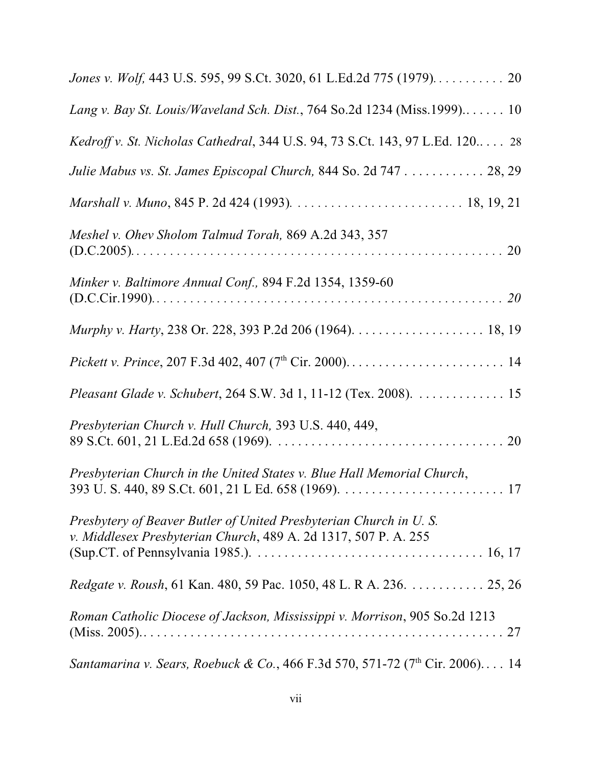| Jones v. Wolf, 443 U.S. 595, 99 S.Ct. 3020, 61 L.Ed.2d 775 (1979). 20                                                                |
|--------------------------------------------------------------------------------------------------------------------------------------|
| Lang v. Bay St. Louis/Waveland Sch. Dist., 764 So.2d 1234 (Miss.1999) 10                                                             |
| Kedroff v. St. Nicholas Cathedral, 344 U.S. 94, 73 S.Ct. 143, 97 L.Ed. 120 28                                                        |
| Julie Mabus vs. St. James Episcopal Church, 844 So. 2d 747 28, 29                                                                    |
|                                                                                                                                      |
| Meshel v. Ohev Sholom Talmud Torah, 869 A.2d 343, 357<br>$(D.C.2005) 20$                                                             |
| Minker v. Baltimore Annual Conf., 894 F.2d 1354, 1359-60                                                                             |
|                                                                                                                                      |
|                                                                                                                                      |
| Pleasant Glade v. Schubert, 264 S.W. 3d 1, 11-12 (Tex. 2008). 15                                                                     |
| Presbyterian Church v. Hull Church, 393 U.S. 440, 449,                                                                               |
| Presbyterian Church in the United States v. Blue Hall Memorial Church,                                                               |
| Presbytery of Beaver Butler of United Presbyterian Church in U.S.<br>v. Middlesex Presbyterian Church, 489 A. 2d 1317, 507 P. A. 255 |
| <i>Redgate v. Roush</i> , 61 Kan. 480, 59 Pac. 1050, 48 L. R A. 236. 25, 26                                                          |
| Roman Catholic Diocese of Jackson, Mississippi v. Morrison, 905 So.2d 1213                                                           |
| <i>Santamarina v. Sears, Roebuck &amp; Co.,</i> 466 F.3d 570, 571-72 (7 <sup>th</sup> Cir. 2006) 14                                  |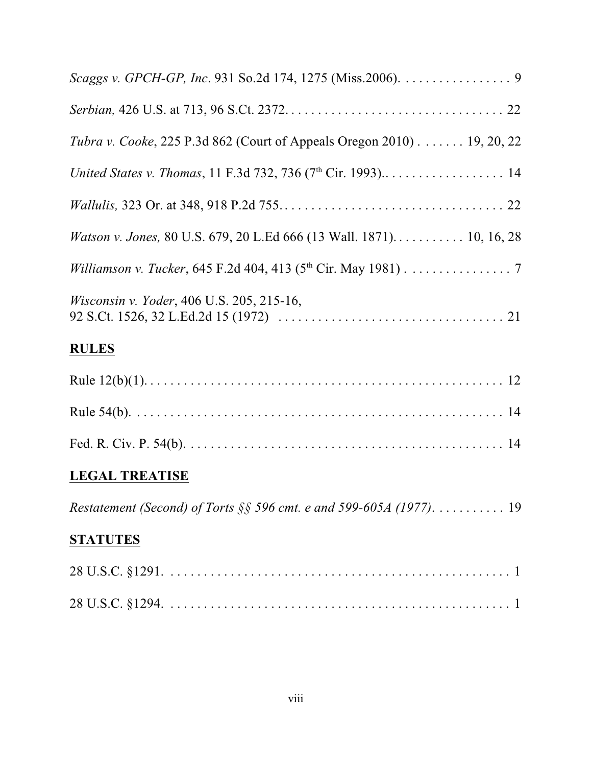| Scaggs v. GPCH-GP, Inc. 931 So.2d 174, 1275 (Miss.2006). 9                     |
|--------------------------------------------------------------------------------|
|                                                                                |
| <i>Tubra v. Cooke</i> , 225 P.3d 862 (Court of Appeals Oregon 2010) 19, 20, 22 |
|                                                                                |
|                                                                                |
|                                                                                |
| Williamson v. Tucker, 645 F.2d 404, 413 (5 <sup>th</sup> Cir. May 1981) 7      |
| Wisconsin v. Yoder, 406 U.S. 205, 215-16,                                      |
| <b>RULES</b>                                                                   |
|                                                                                |
|                                                                                |
|                                                                                |
| <b>LEGAL TREATISE</b>                                                          |
| Restatement (Second) of Torts §§ 596 cmt. e and 599-605A (1977). 19            |
| <b>STATUTES</b>                                                                |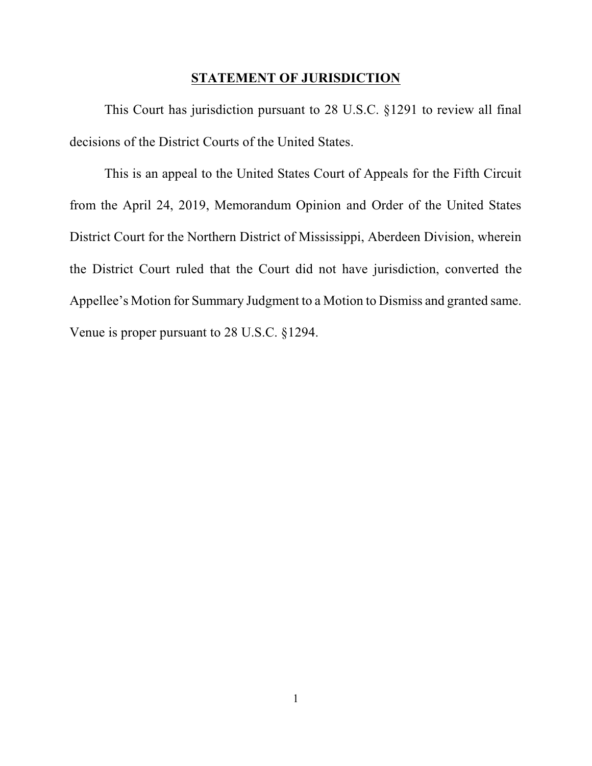### **STATEMENT OF JURISDICTION**

This Court has jurisdiction pursuant to 28 U.S.C. §1291 to review all final decisions of the District Courts of the United States.

This is an appeal to the United States Court of Appeals for the Fifth Circuit from the April 24, 2019, Memorandum Opinion and Order of the United States District Court for the Northern District of Mississippi, Aberdeen Division, wherein the District Court ruled that the Court did not have jurisdiction, converted the Appellee's Motion for Summary Judgment to a Motion to Dismiss and granted same. Venue is proper pursuant to 28 U.S.C. §1294.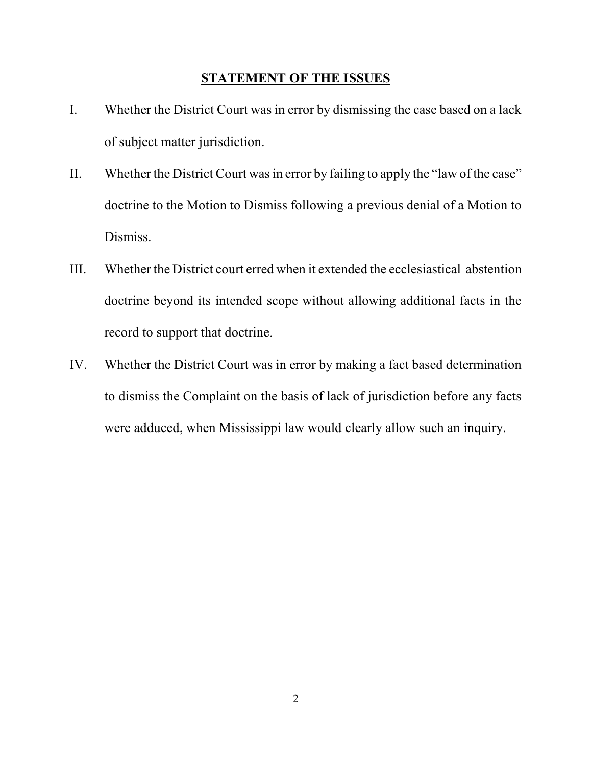### **STATEMENT OF THE ISSUES**

- I. Whether the District Court was in error by dismissing the case based on a lack of subject matter jurisdiction.
- II. Whether the District Court was in error by failing to apply the "law of the case" doctrine to the Motion to Dismiss following a previous denial of a Motion to Dismiss.
- III. Whether the District court erred when it extended the ecclesiastical abstention doctrine beyond its intended scope without allowing additional facts in the record to support that doctrine.
- IV. Whether the District Court was in error by making a fact based determination to dismiss the Complaint on the basis of lack of jurisdiction before any facts were adduced, when Mississippi law would clearly allow such an inquiry.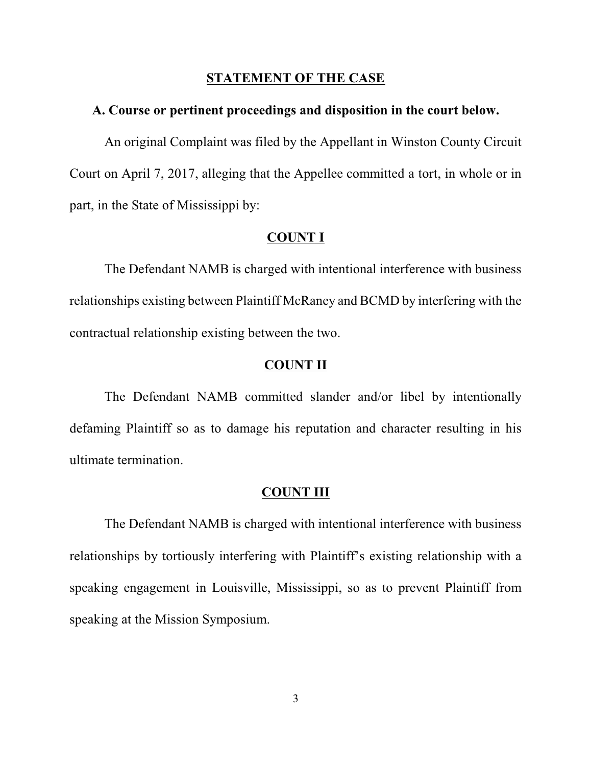### **STATEMENT OF THE CASE**

#### **A. Course or pertinent proceedings and disposition in the court below.**

An original Complaint was filed by the Appellant in Winston County Circuit Court on April 7, 2017, alleging that the Appellee committed a tort, in whole or in part, in the State of Mississippi by:

### **COUNT I**

The Defendant NAMB is charged with intentional interference with business relationships existing between Plaintiff McRaney and BCMD by interfering with the contractual relationship existing between the two.

### **COUNT II**

The Defendant NAMB committed slander and/or libel by intentionally defaming Plaintiff so as to damage his reputation and character resulting in his ultimate termination.

### **COUNT III**

The Defendant NAMB is charged with intentional interference with business relationships by tortiously interfering with Plaintiff's existing relationship with a speaking engagement in Louisville, Mississippi, so as to prevent Plaintiff from speaking at the Mission Symposium.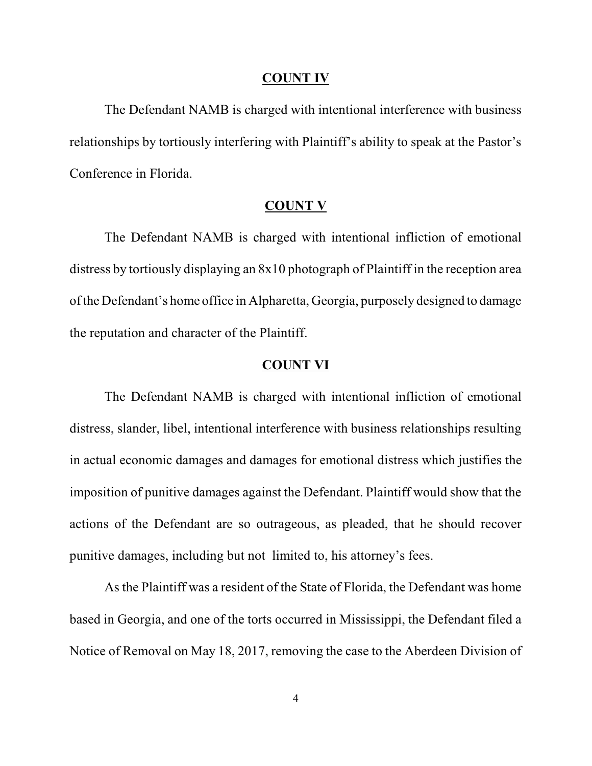#### **COUNT IV**

The Defendant NAMB is charged with intentional interference with business relationships by tortiously interfering with Plaintiff's ability to speak at the Pastor's Conference in Florida.

#### **COUNT V**

The Defendant NAMB is charged with intentional infliction of emotional distress by tortiously displaying an 8x10 photograph of Plaintiff in the reception area of the Defendant's home office in Alpharetta, Georgia, purposely designed to damage the reputation and character of the Plaintiff.

#### **COUNT VI**

The Defendant NAMB is charged with intentional infliction of emotional distress, slander, libel, intentional interference with business relationships resulting in actual economic damages and damages for emotional distress which justifies the imposition of punitive damages against the Defendant. Plaintiff would show that the actions of the Defendant are so outrageous, as pleaded, that he should recover punitive damages, including but not limited to, his attorney's fees.

As the Plaintiff was a resident of the State of Florida, the Defendant was home based in Georgia, and one of the torts occurred in Mississippi, the Defendant filed a Notice of Removal on May 18, 2017, removing the case to the Aberdeen Division of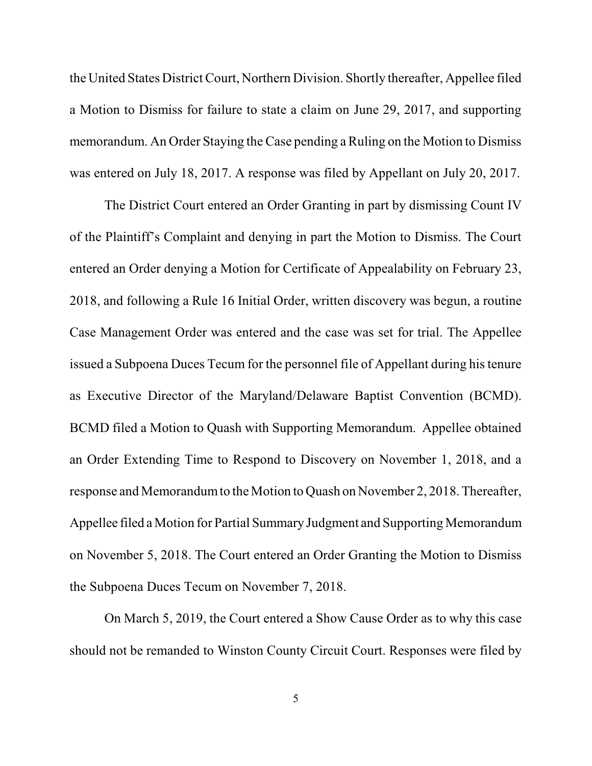the United States District Court, Northern Division. Shortly thereafter, Appellee filed a Motion to Dismiss for failure to state a claim on June 29, 2017, and supporting memorandum. An Order Staying the Case pending a Ruling on the Motion to Dismiss was entered on July 18, 2017. A response was filed by Appellant on July 20, 2017.

The District Court entered an Order Granting in part by dismissing Count IV of the Plaintiff's Complaint and denying in part the Motion to Dismiss. The Court entered an Order denying a Motion for Certificate of Appealability on February 23, 2018, and following a Rule 16 Initial Order, written discovery was begun, a routine Case Management Order was entered and the case was set for trial. The Appellee issued a Subpoena Duces Tecum for the personnel file of Appellant during histenure as Executive Director of the Maryland/Delaware Baptist Convention (BCMD). BCMD filed a Motion to Quash with Supporting Memorandum. Appellee obtained an Order Extending Time to Respond to Discovery on November 1, 2018, and a response and Memorandum to the Motion to Quash on November 2, 2018. Thereafter, Appellee filed a Motion for Partial Summary Judgment and Supporting Memorandum on November 5, 2018. The Court entered an Order Granting the Motion to Dismiss the Subpoena Duces Tecum on November 7, 2018.

On March 5, 2019, the Court entered a Show Cause Order as to why this case should not be remanded to Winston County Circuit Court. Responses were filed by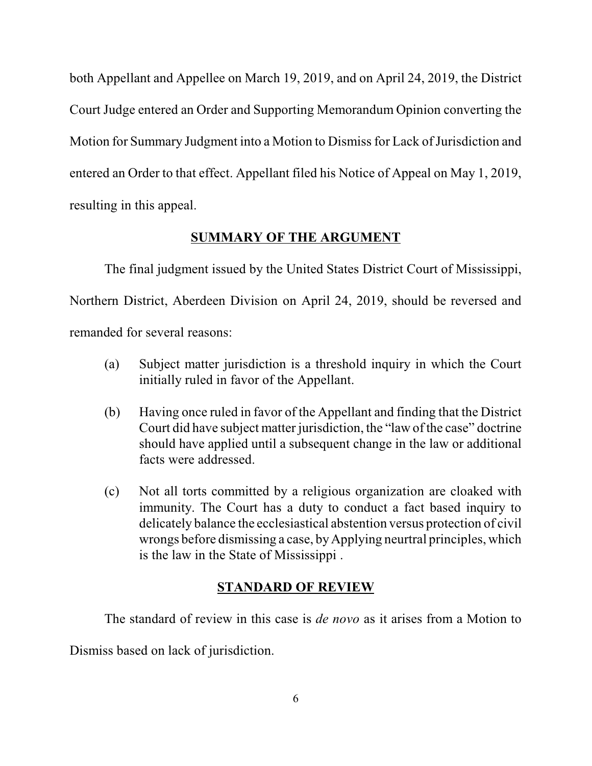both Appellant and Appellee on March 19, 2019, and on April 24, 2019, the District Court Judge entered an Order and Supporting Memorandum Opinion converting the Motion for Summary Judgment into a Motion to Dismiss for Lack of Jurisdiction and entered an Order to that effect. Appellant filed his Notice of Appeal on May 1, 2019, resulting in this appeal.

# **SUMMARY OF THE ARGUMENT**

The final judgment issued by the United States District Court of Mississippi, Northern District, Aberdeen Division on April 24, 2019, should be reversed and remanded for several reasons:

- (a) Subject matter jurisdiction is a threshold inquiry in which the Court initially ruled in favor of the Appellant.
- (b) Having once ruled in favor of the Appellant and finding that the District Court did have subject matter jurisdiction, the "law of the case" doctrine should have applied until a subsequent change in the law or additional facts were addressed.
- (c) Not all torts committed by a religious organization are cloaked with immunity. The Court has a duty to conduct a fact based inquiry to delicately balance the ecclesiastical abstention versus protection of civil wrongs before dismissing a case, byApplying neurtral principles, which is the law in the State of Mississippi .

# **STANDARD OF REVIEW**

The standard of review in this case is *de novo* as it arises from a Motion to

Dismiss based on lack of jurisdiction.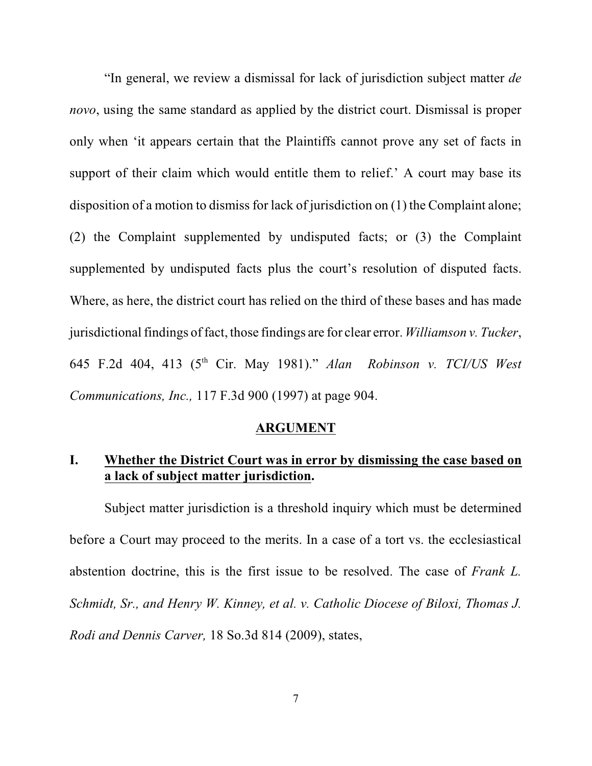"In general, we review a dismissal for lack of jurisdiction subject matter *de novo*, using the same standard as applied by the district court. Dismissal is proper only when 'it appears certain that the Plaintiffs cannot prove any set of facts in support of their claim which would entitle them to relief.' A court may base its disposition of a motion to dismiss for lack of jurisdiction on (1) the Complaint alone; (2) the Complaint supplemented by undisputed facts; or (3) the Complaint supplemented by undisputed facts plus the court's resolution of disputed facts. Where, as here, the district court has relied on the third of these bases and has made jurisdictional findings of fact, those findings are for clear error. *Williamson v. Tucker*, 645 F.2d 404, 413 (5th Cir. May 1981)." *Alan Robinson v. TCI/US West Communications, Inc.,* 117 F.3d 900 (1997) at page 904.

#### **ARGUMENT**

# **I. Whether the District Court was in error by dismissing the case based on a lack of subject matter jurisdiction.**

Subject matter jurisdiction is a threshold inquiry which must be determined before a Court may proceed to the merits. In a case of a tort vs. the ecclesiastical abstention doctrine, this is the first issue to be resolved. The case of *Frank L. Schmidt, Sr., and Henry W. Kinney, et al. v. Catholic Diocese of Biloxi, Thomas J. Rodi and Dennis Carver,* 18 So.3d 814 (2009), states,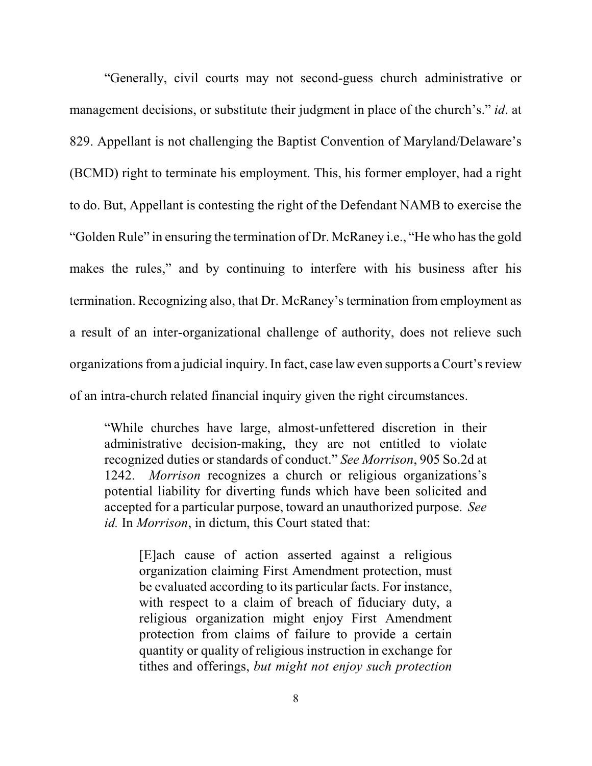"Generally, civil courts may not second-guess church administrative or management decisions, or substitute their judgment in place of the church's." *id*. at 829. Appellant is not challenging the Baptist Convention of Maryland/Delaware's (BCMD) right to terminate his employment. This, his former employer, had a right to do. But, Appellant is contesting the right of the Defendant NAMB to exercise the "Golden Rule" in ensuring the termination of Dr. McRaney i.e., "He who hasthe gold makes the rules," and by continuing to interfere with his business after his termination. Recognizing also, that Dr. McRaney's termination from employment as a result of an inter-organizational challenge of authority, does not relieve such organizations from a judicial inquiry. In fact, case law even supports a Court's review of an intra-church related financial inquiry given the right circumstances.

"While churches have large, almost-unfettered discretion in their administrative decision-making, they are not entitled to violate recognized duties or standards of conduct." *See Morrison*, 905 So.2d at 1242. *Morrison* recognizes a church or religious organizations's potential liability for diverting funds which have been solicited and accepted for a particular purpose, toward an unauthorized purpose. *See id.* In *Morrison*, in dictum, this Court stated that:

[E]ach cause of action asserted against a religious organization claiming First Amendment protection, must be evaluated according to its particular facts. For instance, with respect to a claim of breach of fiduciary duty, a religious organization might enjoy First Amendment protection from claims of failure to provide a certain quantity or quality of religious instruction in exchange for tithes and offerings, *but might not enjoy such protection*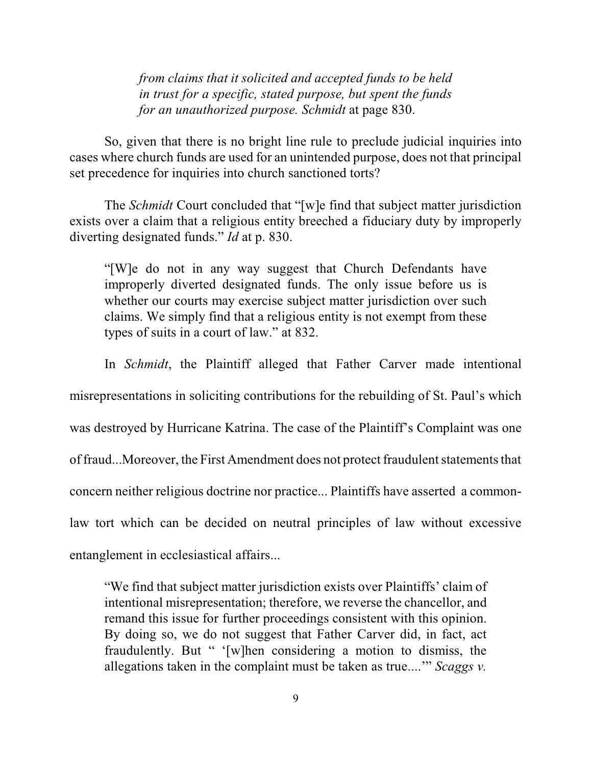*from claims that it solicited and accepted funds to be held in trust for a specific, stated purpose, but spent the funds for an unauthorized purpose. Schmidt* at page 830.

So, given that there is no bright line rule to preclude judicial inquiries into cases where church funds are used for an unintended purpose, does not that principal set precedence for inquiries into church sanctioned torts?

The *Schmidt* Court concluded that "[w]e find that subject matter jurisdiction exists over a claim that a religious entity breeched a fiduciary duty by improperly diverting designated funds." *Id* at p. 830.

"[W]e do not in any way suggest that Church Defendants have improperly diverted designated funds. The only issue before us is whether our courts may exercise subject matter jurisdiction over such claims. We simply find that a religious entity is not exempt from these types of suits in a court of law." at 832.

In *Schmidt*, the Plaintiff alleged that Father Carver made intentional misrepresentations in soliciting contributions for the rebuilding of St. Paul's which was destroyed by Hurricane Katrina. The case of the Plaintiff's Complaint was one of fraud...Moreover, the First Amendment does not protect fraudulent statements that concern neither religious doctrine nor practice... Plaintiffs have asserted a commonlaw tort which can be decided on neutral principles of law without excessive entanglement in ecclesiastical affairs...

"We find that subject matter jurisdiction exists over Plaintiffs' claim of intentional misrepresentation; therefore, we reverse the chancellor, and remand this issue for further proceedings consistent with this opinion. By doing so, we do not suggest that Father Carver did, in fact, act fraudulently. But " '[w]hen considering a motion to dismiss, the allegations taken in the complaint must be taken as true....'" *Scaggs v.*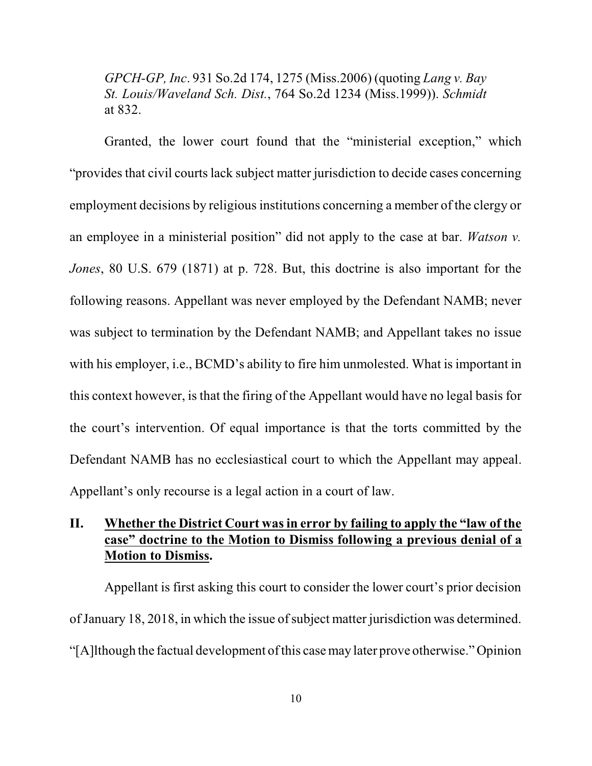*GPCH-GP, Inc*. 931 So.2d 174, 1275 (Miss.2006) (quoting *Lang v. Bay St. Louis/Waveland Sch. Dist.*, 764 So.2d 1234 (Miss.1999)). *Schmidt* at 832.

Granted, the lower court found that the "ministerial exception," which "provides that civil courts lack subject matter jurisdiction to decide cases concerning employment decisions by religious institutions concerning a member of the clergy or an employee in a ministerial position" did not apply to the case at bar. *Watson v. Jones*, 80 U.S. 679 (1871) at p. 728. But, this doctrine is also important for the following reasons. Appellant was never employed by the Defendant NAMB; never was subject to termination by the Defendant NAMB; and Appellant takes no issue with his employer, i.e., BCMD's ability to fire him unmolested. What is important in this context however, is that the firing of the Appellant would have no legal basis for the court's intervention. Of equal importance is that the torts committed by the Defendant NAMB has no ecclesiastical court to which the Appellant may appeal. Appellant's only recourse is a legal action in a court of law.

# **II. Whether the District Court wasin error by failing to apply the "law of the case" doctrine to the Motion to Dismiss following a previous denial of a Motion to Dismiss.**

Appellant is first asking this court to consider the lower court's prior decision of January 18, 2018, in which the issue of subject matter jurisdiction was determined. "[A]lthough the factual development of this case may later prove otherwise." Opinion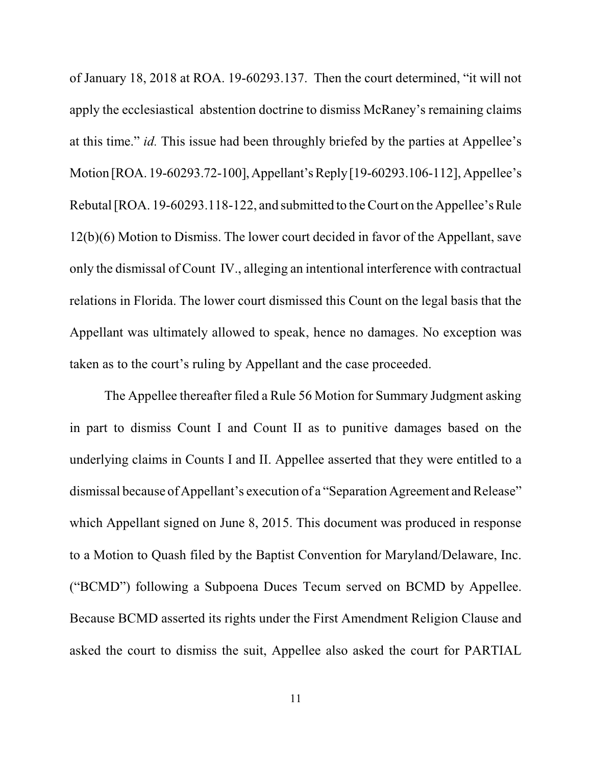of January 18, 2018 at ROA. 19-60293.137. Then the court determined, "it will not apply the ecclesiastical abstention doctrine to dismiss McRaney's remaining claims at this time." *id.* This issue had been throughly briefed by the parties at Appellee's Motion [ROA. 19-60293.72-100],Appellant's Reply[19-60293.106-112], Appellee's Rebutal [ROA. 19-60293.118-122, and submitted to the Court on the Appellee's Rule 12(b)(6) Motion to Dismiss. The lower court decided in favor of the Appellant, save only the dismissal of Count IV., alleging an intentional interference with contractual relations in Florida. The lower court dismissed this Count on the legal basis that the Appellant was ultimately allowed to speak, hence no damages. No exception was taken as to the court's ruling by Appellant and the case proceeded.

The Appellee thereafter filed a Rule 56 Motion for Summary Judgment asking in part to dismiss Count I and Count II as to punitive damages based on the underlying claims in Counts I and II. Appellee asserted that they were entitled to a dismissal because of Appellant's execution of a "Separation Agreement and Release" which Appellant signed on June 8, 2015. This document was produced in response to a Motion to Quash filed by the Baptist Convention for Maryland/Delaware, Inc. ("BCMD") following a Subpoena Duces Tecum served on BCMD by Appellee. Because BCMD asserted its rights under the First Amendment Religion Clause and asked the court to dismiss the suit, Appellee also asked the court for PARTIAL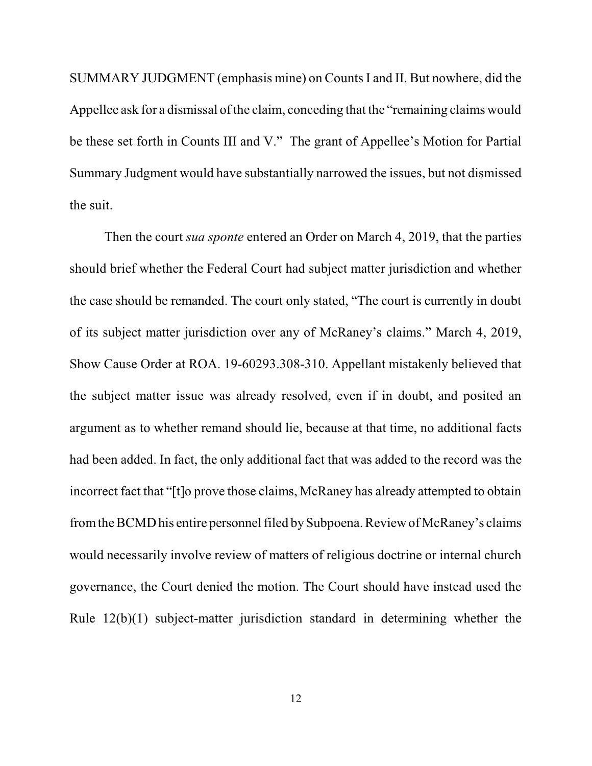SUMMARY JUDGMENT (emphasis mine) on CountsI and II. But nowhere, did the Appellee ask for a dismissal of the claim, conceding that the "remaining claims would be these set forth in Counts III and V." The grant of Appellee's Motion for Partial Summary Judgment would have substantially narrowed the issues, but not dismissed the suit.

Then the court *sua sponte* entered an Order on March 4, 2019, that the parties should brief whether the Federal Court had subject matter jurisdiction and whether the case should be remanded. The court only stated, "The court is currently in doubt of its subject matter jurisdiction over any of McRaney's claims." March 4, 2019, Show Cause Order at ROA. 19-60293.308-310. Appellant mistakenly believed that the subject matter issue was already resolved, even if in doubt, and posited an argument as to whether remand should lie, because at that time, no additional facts had been added. In fact, the only additional fact that was added to the record was the incorrect fact that "[t]o prove those claims, McRaney has already attempted to obtain from the BCMD his entire personnel filed by Subpoena. Review of McRaney's claims would necessarily involve review of matters of religious doctrine or internal church governance, the Court denied the motion. The Court should have instead used the Rule 12(b)(1) subject-matter jurisdiction standard in determining whether the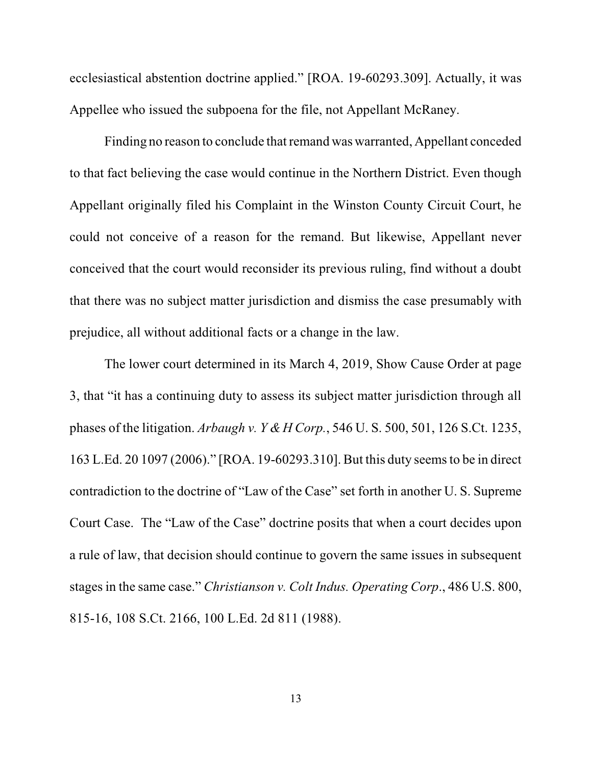ecclesiastical abstention doctrine applied." [ROA. 19-60293.309]. Actually, it was Appellee who issued the subpoena for the file, not Appellant McRaney.

Finding no reason to conclude that remand was warranted, Appellant conceded to that fact believing the case would continue in the Northern District. Even though Appellant originally filed his Complaint in the Winston County Circuit Court, he could not conceive of a reason for the remand. But likewise, Appellant never conceived that the court would reconsider its previous ruling, find without a doubt that there was no subject matter jurisdiction and dismiss the case presumably with prejudice, all without additional facts or a change in the law.

The lower court determined in its March 4, 2019, Show Cause Order at page 3, that "it has a continuing duty to assess its subject matter jurisdiction through all phases of the litigation. *Arbaugh v. Y &H Corp.*, 546 U. S. 500, 501, 126 S.Ct. 1235, 163 L.Ed. 20 1097 (2006)." [ROA. 19-60293.310]. But this duty seemsto be in direct contradiction to the doctrine of "Law of the Case" set forth in another U. S. Supreme Court Case. The "Law of the Case" doctrine posits that when a court decides upon a rule of law, that decision should continue to govern the same issues in subsequent stages in the same case." *Christianson v. Colt Indus. Operating Corp*., 486 U.S. 800, 815-16, 108 S.Ct. 2166, 100 L.Ed. 2d 811 (1988).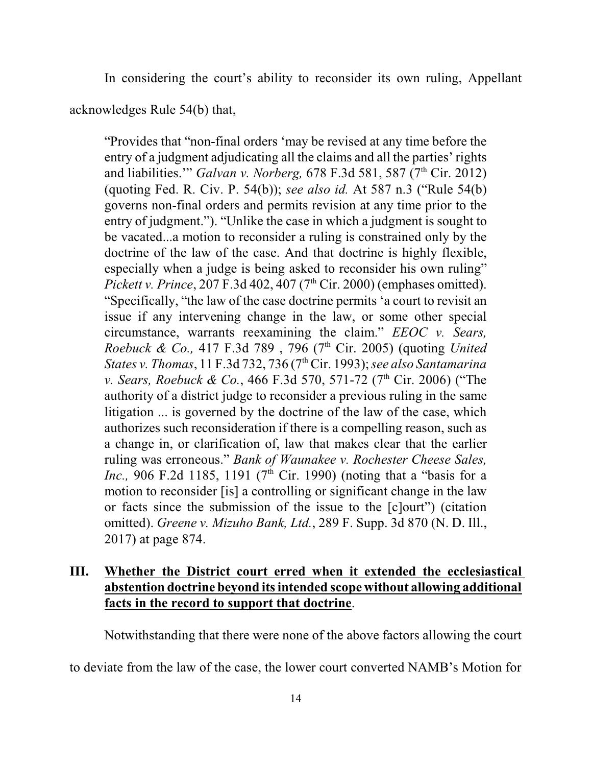In considering the court's ability to reconsider its own ruling, Appellant

acknowledges Rule 54(b) that,

"Provides that "non-final orders 'may be revised at any time before the entry of a judgment adjudicating all the claims and all the parties' rights and liabilities." *Galvan v. Norberg*, 678 F.3d 581, 587 (7<sup>th</sup> Cir. 2012) (quoting Fed. R. Civ. P. 54(b)); *see also id.* At 587 n.3 ("Rule 54(b) governs non-final orders and permits revision at any time prior to the entry of judgment."). "Unlike the case in which a judgment is sought to be vacated...a motion to reconsider a ruling is constrained only by the doctrine of the law of the case. And that doctrine is highly flexible, especially when a judge is being asked to reconsider his own ruling" *Pickett v. Prince*, 207 F.3d 402, 407 (7<sup>th</sup> Cir. 2000) (emphases omitted). "Specifically, "the law of the case doctrine permits 'a court to revisit an issue if any intervening change in the law, or some other special circumstance, warrants reexamining the claim." *EEOC v. Sears, Roebuck & Co.,* 417 F.3d 789 , 796 (7th Cir. 2005) (quoting *United States v. Thomas*, 11 F.3d 732, 736 (7th Cir. 1993);*see also Santamarina v. Sears, Roebuck & Co., 466 F.3d 570, 571-72 (7<sup>th</sup> Cir. 2006) ("The* authority of a district judge to reconsider a previous ruling in the same litigation ... is governed by the doctrine of the law of the case, which authorizes such reconsideration if there is a compelling reason, such as a change in, or clarification of, law that makes clear that the earlier ruling was erroneous." *Bank of Waunakee v. Rochester Cheese Sales, Inc.*, 906 F.2d 1185, 1191 (7<sup>th</sup> Cir. 1990) (noting that a "basis for a motion to reconsider [is] a controlling or significant change in the law or facts since the submission of the issue to the [c]ourt") (citation omitted). *Greene v. Mizuho Bank, Ltd.*, 289 F. Supp. 3d 870 (N. D. Ill., 2017) at page 874.

# **III. Whether the District court erred when it extended the ecclesiastical abstention doctrine beyond itsintended scope without allowing additional facts in the record to support that doctrine**.

Notwithstanding that there were none of the above factors allowing the court

to deviate from the law of the case, the lower court converted NAMB's Motion for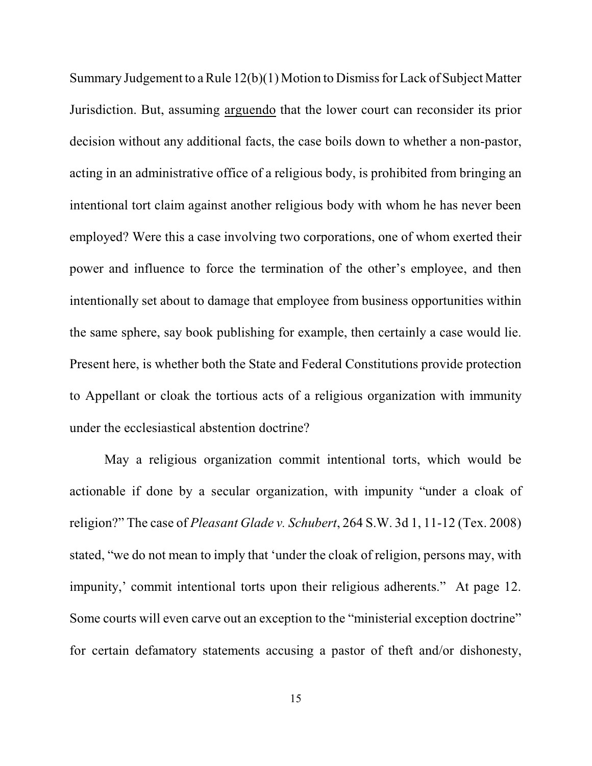Summary Judgement to a Rule 12(b)(1) Motion to Dismiss for Lack of Subject Matter Jurisdiction. But, assuming arguendo that the lower court can reconsider its prior decision without any additional facts, the case boils down to whether a non-pastor, acting in an administrative office of a religious body, is prohibited from bringing an intentional tort claim against another religious body with whom he has never been employed? Were this a case involving two corporations, one of whom exerted their power and influence to force the termination of the other's employee, and then intentionally set about to damage that employee from business opportunities within the same sphere, say book publishing for example, then certainly a case would lie. Present here, is whether both the State and Federal Constitutions provide protection to Appellant or cloak the tortious acts of a religious organization with immunity under the ecclesiastical abstention doctrine?

May a religious organization commit intentional torts, which would be actionable if done by a secular organization, with impunity "under a cloak of religion?" The case of *Pleasant Glade v. Schubert*, 264 S.W. 3d 1, 11-12 (Tex. 2008) stated, "we do not mean to imply that 'under the cloak of religion, persons may, with impunity,' commit intentional torts upon their religious adherents." At page 12. Some courts will even carve out an exception to the "ministerial exception doctrine" for certain defamatory statements accusing a pastor of theft and/or dishonesty,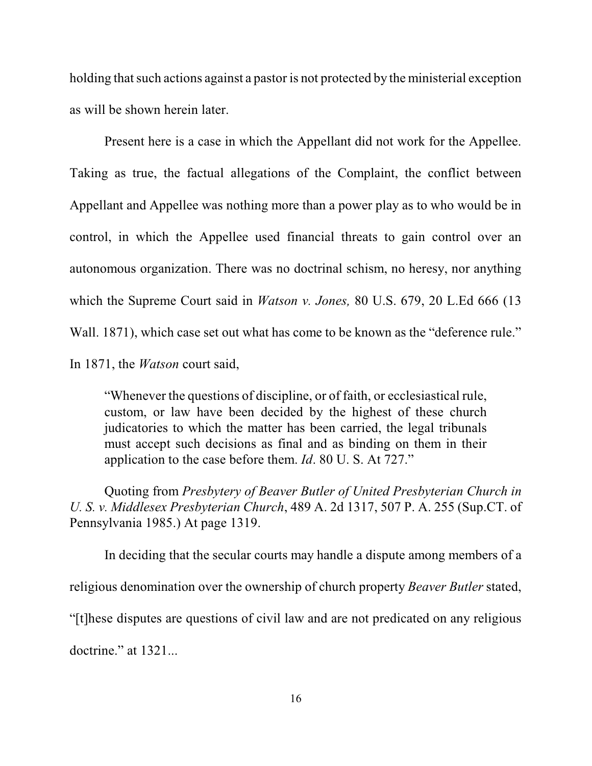holding that such actions against a pastor is not protected by the ministerial exception as will be shown herein later.

Present here is a case in which the Appellant did not work for the Appellee. Taking as true, the factual allegations of the Complaint, the conflict between Appellant and Appellee was nothing more than a power play as to who would be in control, in which the Appellee used financial threats to gain control over an autonomous organization. There was no doctrinal schism, no heresy, nor anything which the Supreme Court said in *Watson v. Jones,* 80 U.S. 679, 20 L.Ed 666 (13 Wall. 1871), which case set out what has come to be known as the "deference rule." In 1871, the *Watson* court said,

"Whenever the questions of discipline, or of faith, or ecclesiastical rule, custom, or law have been decided by the highest of these church judicatories to which the matter has been carried, the legal tribunals must accept such decisions as final and as binding on them in their application to the case before them. *Id*. 80 U. S. At 727."

Quoting from *Presbytery of Beaver Butler of United Presbyterian Church in U. S. v. Middlesex Presbyterian Church*, 489 A. 2d 1317, 507 P. A. 255 (Sup.CT. of Pennsylvania 1985.) At page 1319.

In deciding that the secular courts may handle a dispute among members of a religious denomination over the ownership of church property *Beaver Butler* stated, "[t]hese disputes are questions of civil law and are not predicated on any religious doctrine." at 1321...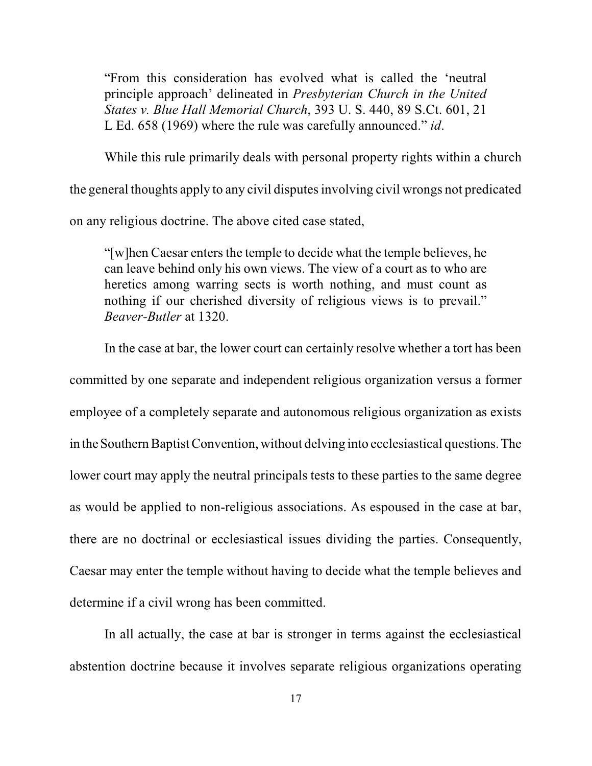"From this consideration has evolved what is called the 'neutral principle approach' delineated in *Presbyterian Church in the United States v. Blue Hall Memorial Church*, 393 U. S. 440, 89 S.Ct. 601, 21 L Ed. 658 (1969) where the rule was carefully announced." *id*.

While this rule primarily deals with personal property rights within a church

the general thoughts apply to any civil disputes involving civil wrongs not predicated

on any religious doctrine. The above cited case stated,

"[w]hen Caesar enters the temple to decide what the temple believes, he can leave behind only his own views. The view of a court as to who are heretics among warring sects is worth nothing, and must count as nothing if our cherished diversity of religious views is to prevail." *Beaver-Butler* at 1320.

In the case at bar, the lower court can certainly resolve whether a tort has been committed by one separate and independent religious organization versus a former employee of a completely separate and autonomous religious organization as exists in the Southern Baptist Convention, without delving into ecclesiastical questions. The lower court may apply the neutral principals tests to these parties to the same degree as would be applied to non-religious associations. As espoused in the case at bar, there are no doctrinal or ecclesiastical issues dividing the parties. Consequently, Caesar may enter the temple without having to decide what the temple believes and determine if a civil wrong has been committed.

In all actually, the case at bar is stronger in terms against the ecclesiastical abstention doctrine because it involves separate religious organizations operating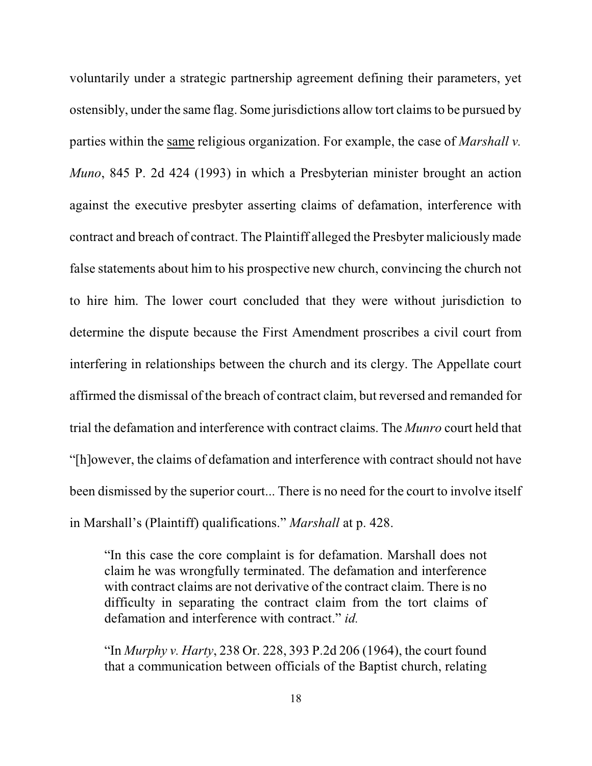voluntarily under a strategic partnership agreement defining their parameters, yet ostensibly, under the same flag. Some jurisdictions allow tort claims to be pursued by parties within the same religious organization. For example, the case of *Marshall v. Muno*, 845 P. 2d 424 (1993) in which a Presbyterian minister brought an action against the executive presbyter asserting claims of defamation, interference with contract and breach of contract. The Plaintiff alleged the Presbyter maliciously made false statements about him to his prospective new church, convincing the church not to hire him. The lower court concluded that they were without jurisdiction to determine the dispute because the First Amendment proscribes a civil court from interfering in relationships between the church and its clergy. The Appellate court affirmed the dismissal of the breach of contract claim, but reversed and remanded for trial the defamation and interference with contract claims. The *Munro* court held that "[h]owever, the claims of defamation and interference with contract should not have been dismissed by the superior court... There is no need for the court to involve itself in Marshall's (Plaintiff) qualifications." *Marshall* at p. 428.

"In this case the core complaint is for defamation. Marshall does not claim he was wrongfully terminated. The defamation and interference with contract claims are not derivative of the contract claim. There is no difficulty in separating the contract claim from the tort claims of defamation and interference with contract." *id.*

"In *Murphy v. Harty*, 238 Or. 228, 393 P.2d 206 (1964), the court found that a communication between officials of the Baptist church, relating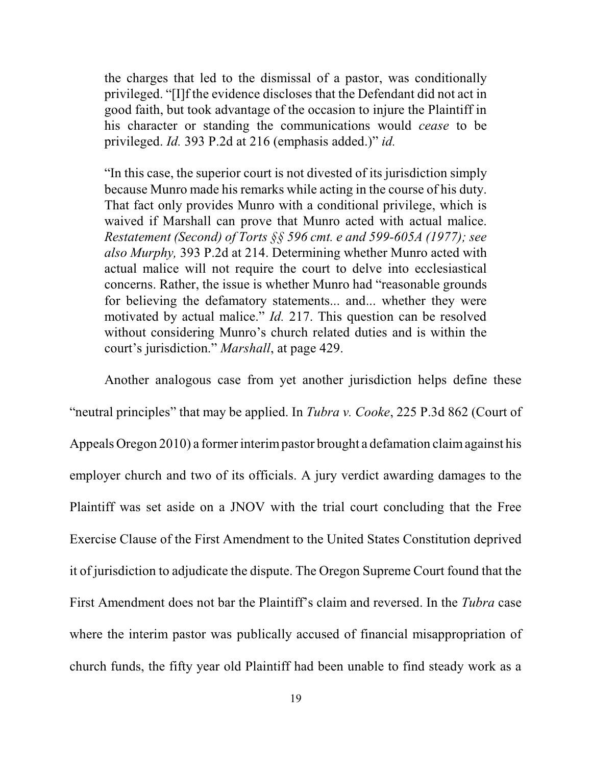the charges that led to the dismissal of a pastor, was conditionally privileged. "[I]f the evidence discloses that the Defendant did not act in good faith, but took advantage of the occasion to injure the Plaintiff in his character or standing the communications would *cease* to be privileged. *Id.* 393 P.2d at 216 (emphasis added.)" *id.*

"In this case, the superior court is not divested of its jurisdiction simply because Munro made his remarks while acting in the course of his duty. That fact only provides Munro with a conditional privilege, which is waived if Marshall can prove that Munro acted with actual malice. *Restatement (Second) of Torts §§ 596 cmt. e and 599-605A (1977); see also Murphy,* 393 P.2d at 214. Determining whether Munro acted with actual malice will not require the court to delve into ecclesiastical concerns. Rather, the issue is whether Munro had "reasonable grounds for believing the defamatory statements... and... whether they were motivated by actual malice." *Id.* 217. This question can be resolved without considering Munro's church related duties and is within the court's jurisdiction." *Marshall*, at page 429.

Another analogous case from yet another jurisdiction helps define these "neutral principles" that may be applied. In *Tubra v. Cooke*, 225 P.3d 862 (Court of Appeals Oregon 2010) a former interimpastor brought a defamation claimagainst his employer church and two of its officials. A jury verdict awarding damages to the Plaintiff was set aside on a JNOV with the trial court concluding that the Free Exercise Clause of the First Amendment to the United States Constitution deprived it of jurisdiction to adjudicate the dispute. The Oregon Supreme Court found that the First Amendment does not bar the Plaintiff's claim and reversed. In the *Tubra* case where the interim pastor was publically accused of financial misappropriation of church funds, the fifty year old Plaintiff had been unable to find steady work as a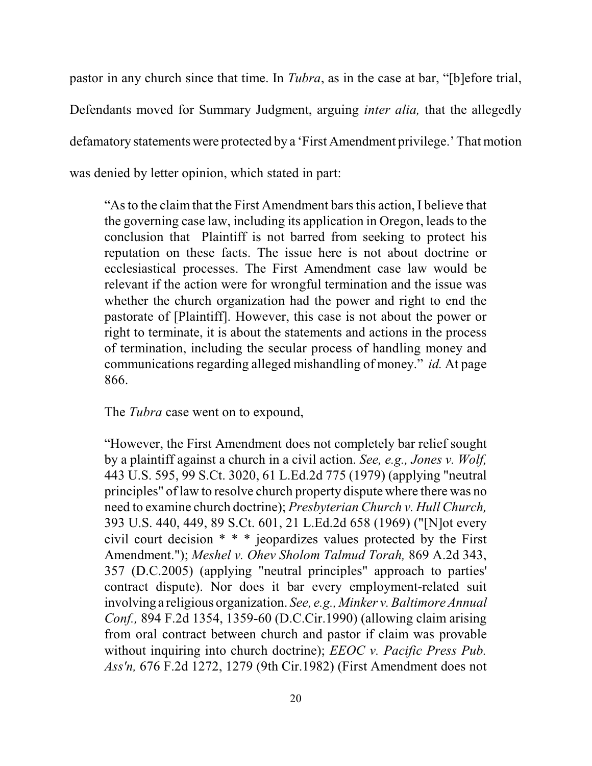pastor in any church since that time. In *Tubra*, as in the case at bar, "[b]efore trial, Defendants moved for Summary Judgment, arguing *inter alia,* that the allegedly defamatory statements were protected by a 'First Amendment privilege.'That motion was denied by letter opinion, which stated in part:

"Asto the claim that the First Amendment barsthis action, I believe that the governing case law, including its application in Oregon, leads to the conclusion that Plaintiff is not barred from seeking to protect his reputation on these facts. The issue here is not about doctrine or ecclesiastical processes. The First Amendment case law would be relevant if the action were for wrongful termination and the issue was whether the church organization had the power and right to end the pastorate of [Plaintiff]. However, this case is not about the power or right to terminate, it is about the statements and actions in the process of termination, including the secular process of handling money and communications regarding alleged mishandling of money." *id.* At page 866.

The *Tubra* case went on to expound,

"However, the First Amendment does not completely bar relief sought by a plaintiff against a church in a civil action. *See, e.g., Jones v. Wolf,* 443 U.S. 595, 99 S.Ct. 3020, 61 L.Ed.2d 775 (1979) (applying "neutral principles" of law to resolve church property dispute where there was no need to examine church doctrine); *Presbyterian Church v. Hull Church,* 393 U.S. 440, 449, 89 S.Ct. 601, 21 L.Ed.2d 658 (1969) ("[N]ot every civil court decision \* \* \* jeopardizes values protected by the First Amendment."); *Meshel v. Ohev Sholom Talmud Torah,* 869 A.2d 343, 357 (D.C.2005) (applying "neutral principles" approach to parties' contract dispute). Nor does it bar every employment-related suit involving a religious organization. *See, e.g., Minker v. Baltimore Annual Conf.,* 894 F.2d 1354, 1359-60 (D.C.Cir.1990) (allowing claim arising from oral contract between church and pastor if claim was provable without inquiring into church doctrine); *EEOC v. Pacific Press Pub. Ass'n,* 676 F.2d 1272, 1279 (9th Cir.1982) (First Amendment does not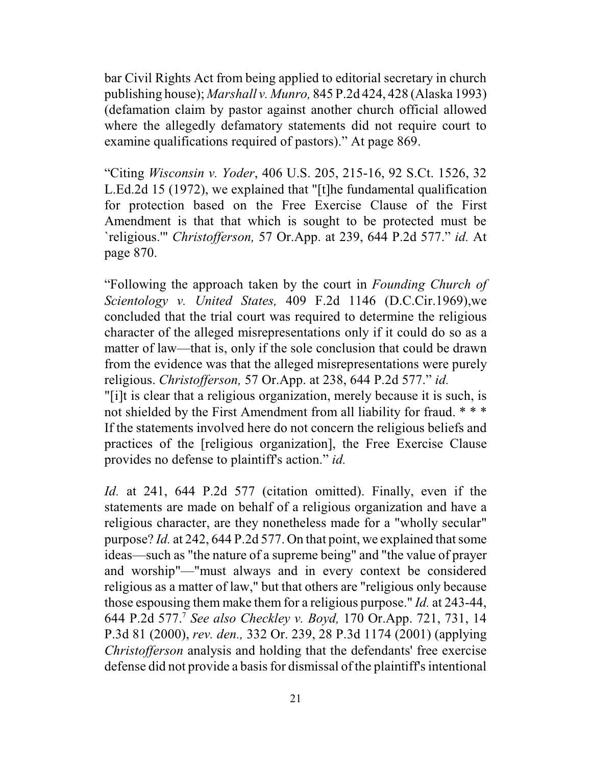bar Civil Rights Act from being applied to editorial secretary in church publishing house); *Marshall v. Munro,* 845 P.2d 424, 428 (Alaska 1993) (defamation claim by pastor against another church official allowed where the allegedly defamatory statements did not require court to examine qualifications required of pastors)." At page 869.

"Citing *Wisconsin v. Yoder*, 406 U.S. 205, 215-16, 92 S.Ct. 1526, 32 L.Ed.2d 15 (1972), we explained that "[t]he fundamental qualification for protection based on the Free Exercise Clause of the First Amendment is that that which is sought to be protected must be `religious.'" *Christofferson,* 57 Or.App. at 239, 644 P.2d 577." *id.* At page 870.

"Following the approach taken by the court in *Founding Church of Scientology v. United States,* 409 F.2d 1146 (D.C.Cir.1969),we concluded that the trial court was required to determine the religious character of the alleged misrepresentations only if it could do so as a matter of law—that is, only if the sole conclusion that could be drawn from the evidence was that the alleged misrepresentations were purely religious. *Christofferson,* 57 Or.App. at 238, 644 P.2d 577." *id.*

"[i]t is clear that a religious organization, merely because it is such, is not shielded by the First Amendment from all liability for fraud. \* \* \* If the statements involved here do not concern the religious beliefs and practices of the [religious organization], the Free Exercise Clause provides no defense to plaintiff's action." *id.*

*Id.* at 241, 644 P.2d 577 (citation omitted). Finally, even if the statements are made on behalf of a religious organization and have a religious character, are they nonetheless made for a "wholly secular" purpose? *Id.* at 242, 644 P.2d 577. On that point, we explained thatsome ideas—such as "the nature of a supreme being" and "the value of prayer and worship"—"must always and in every context be considered religious as a matter of law," but that others are "religious only because those espousing them make them for a religious purpose." *Id.* at 243-44, 644 P.2d 577.<sup>7</sup> *See also Checkley v. Boyd,* 170 Or.App. 721, 731, 14 P.3d 81 (2000), *rev. den.,* 332 Or. 239, 28 P.3d 1174 (2001) (applying *Christofferson* analysis and holding that the defendants' free exercise defense did not provide a basis for dismissal of the plaintiff's intentional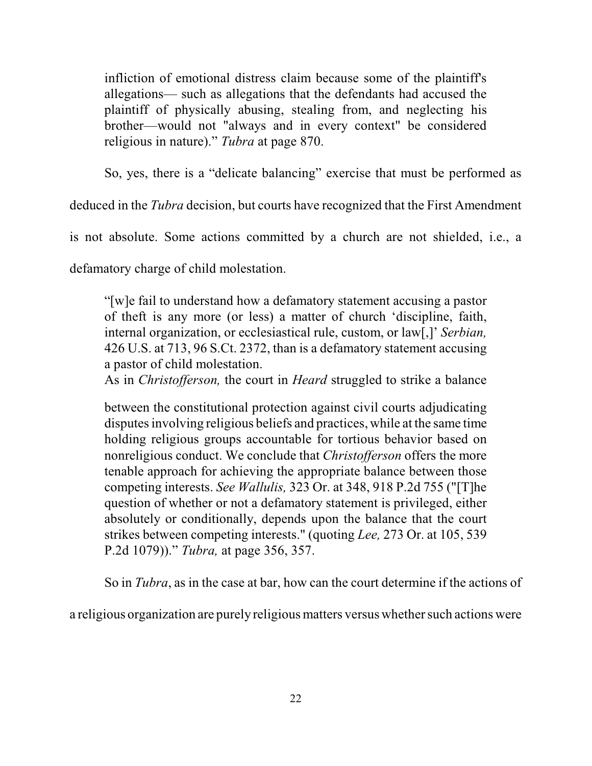infliction of emotional distress claim because some of the plaintiff's allegations— such as allegations that the defendants had accused the plaintiff of physically abusing, stealing from, and neglecting his brother—would not "always and in every context" be considered religious in nature)." *Tubra* at page 870.

So, yes, there is a "delicate balancing" exercise that must be performed as

deduced in the *Tubra* decision, but courts have recognized that the First Amendment

is not absolute. Some actions committed by a church are not shielded, i.e., a

defamatory charge of child molestation.

"[w]e fail to understand how a defamatory statement accusing a pastor of theft is any more (or less) a matter of church 'discipline, faith, internal organization, or ecclesiastical rule, custom, or law[,]' *Serbian,* 426 U.S. at 713, 96 S.Ct. 2372, than is a defamatory statement accusing a pastor of child molestation.

As in *Christofferson,* the court in *Heard* struggled to strike a balance

between the constitutional protection against civil courts adjudicating disputes involving religious beliefs and practices, while at the same time holding religious groups accountable for tortious behavior based on nonreligious conduct. We conclude that *Christofferson* offers the more tenable approach for achieving the appropriate balance between those competing interests. *See Wallulis,* 323 Or. at 348, 918 P.2d 755 ("[T]he question of whether or not a defamatory statement is privileged, either absolutely or conditionally, depends upon the balance that the court strikes between competing interests." (quoting *Lee,* 273 Or. at 105, 539 P.2d 1079))." *Tubra,* at page 356, 357.

So in *Tubra*, as in the case at bar, how can the court determine if the actions of

a religious organization are purely religiousmatters versus whether such actions were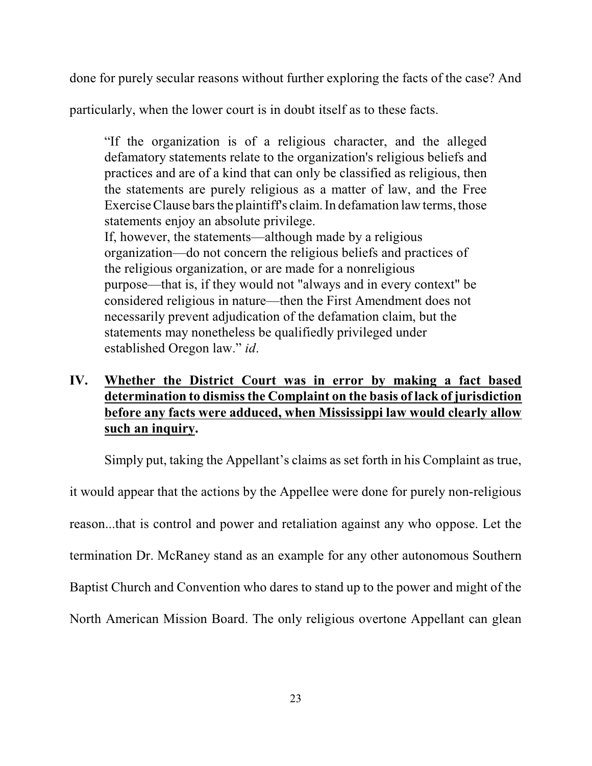done for purely secular reasons without further exploring the facts of the case? And

particularly, when the lower court is in doubt itself as to these facts.

"If the organization is of a religious character, and the alleged defamatory statements relate to the organization's religious beliefs and practices and are of a kind that can only be classified as religious, then the statements are purely religious as a matter of law, and the Free Exercise Clause bars the plaintiff's claim. In defamation law terms, those statements enjoy an absolute privilege. If, however, the statements—although made by a religious organization—do not concern the religious beliefs and practices of the religious organization, or are made for a nonreligious purpose—that is, if they would not "always and in every context" be considered religious in nature—then the First Amendment does not necessarily prevent adjudication of the defamation claim, but the

statements may nonetheless be qualifiedly privileged under established Oregon law." *id*.

# **IV. Whether the District Court was in error by making a fact based determination to dismissthe Complaint on the basis of lack of jurisdiction before any facts were adduced, when Mississippi law would clearly allow such an inquiry.**

Simply put, taking the Appellant's claims as set forth in his Complaint as true,

it would appear that the actions by the Appellee were done for purely non-religious reason...that is control and power and retaliation against any who oppose. Let the termination Dr. McRaney stand as an example for any other autonomous Southern Baptist Church and Convention who dares to stand up to the power and might of the North American Mission Board. The only religious overtone Appellant can glean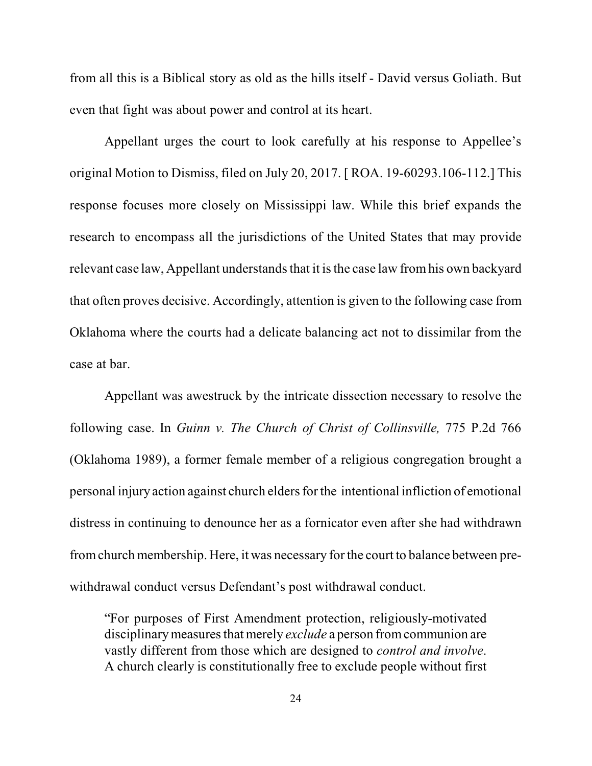from all this is a Biblical story as old as the hills itself - David versus Goliath. But even that fight was about power and control at its heart.

Appellant urges the court to look carefully at his response to Appellee's original Motion to Dismiss, filed on July 20, 2017. [ ROA. 19-60293.106-112.] This response focuses more closely on Mississippi law. While this brief expands the research to encompass all the jurisdictions of the United States that may provide relevant case law, Appellant understands that it is the case law from his own backyard that often proves decisive. Accordingly, attention is given to the following case from Oklahoma where the courts had a delicate balancing act not to dissimilar from the case at bar.

Appellant was awestruck by the intricate dissection necessary to resolve the following case. In *Guinn v. The Church of Christ of Collinsville,* 775 P.2d 766 (Oklahoma 1989), a former female member of a religious congregation brought a personal injury action against church eldersfor the intentional infliction of emotional distress in continuing to denounce her as a fornicator even after she had withdrawn fromchurch membership. Here, it was necessary for the court to balance between prewithdrawal conduct versus Defendant's post withdrawal conduct.

"For purposes of First Amendment protection, religiously-motivated disciplinary measures that merely *exclude* a person from communion are vastly different from those which are designed to *control and involve*. A church clearly is constitutionally free to exclude people without first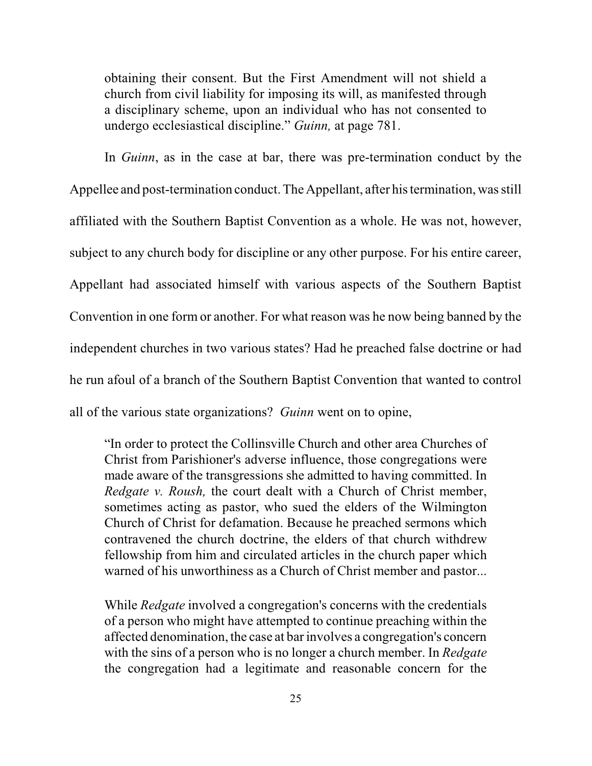obtaining their consent. But the First Amendment will not shield a church from civil liability for imposing its will, as manifested through a disciplinary scheme, upon an individual who has not consented to undergo ecclesiastical discipline." *Guinn,* at page 781.

In *Guinn*, as in the case at bar, there was pre-termination conduct by the Appellee and post-termination conduct. The Appellant, after his termination, was still affiliated with the Southern Baptist Convention as a whole. He was not, however, subject to any church body for discipline or any other purpose. For his entire career, Appellant had associated himself with various aspects of the Southern Baptist Convention in one form or another. For what reason was he now being banned by the independent churches in two various states? Had he preached false doctrine or had he run afoul of a branch of the Southern Baptist Convention that wanted to control all of the various state organizations? *Guinn* went on to opine,

"In order to protect the Collinsville Church and other area Churches of Christ from Parishioner's adverse influence, those congregations were made aware of the transgressions she admitted to having committed. In *Redgate v. Roush,* the court dealt with a Church of Christ member, sometimes acting as pastor, who sued the elders of the Wilmington Church of Christ for defamation. Because he preached sermons which contravened the church doctrine, the elders of that church withdrew fellowship from him and circulated articles in the church paper which warned of his unworthiness as a Church of Christ member and pastor...

While *Redgate* involved a congregation's concerns with the credentials of a person who might have attempted to continue preaching within the affected denomination, the case at bar involves a congregation's concern with the sins of a person who is no longer a church member. In *Redgate* the congregation had a legitimate and reasonable concern for the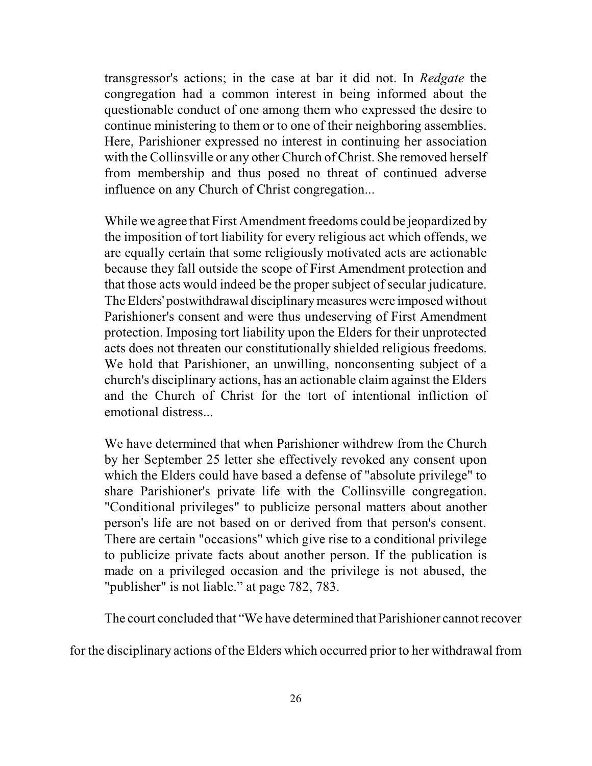transgressor's actions; in the case at bar it did not. In *Redgate* the congregation had a common interest in being informed about the questionable conduct of one among them who expressed the desire to continue ministering to them or to one of their neighboring assemblies. Here, Parishioner expressed no interest in continuing her association with the Collinsville or any other Church of Christ. She removed herself from membership and thus posed no threat of continued adverse influence on any Church of Christ congregation...

While we agree that First Amendment freedoms could be jeopardized by the imposition of tort liability for every religious act which offends, we are equally certain that some religiously motivated acts are actionable because they fall outside the scope of First Amendment protection and that those acts would indeed be the proper subject of secular judicature. The Elders' postwithdrawal disciplinarymeasures were imposed without Parishioner's consent and were thus undeserving of First Amendment protection. Imposing tort liability upon the Elders for their unprotected acts does not threaten our constitutionally shielded religious freedoms. We hold that Parishioner, an unwilling, nonconsenting subject of a church's disciplinary actions, has an actionable claim against the Elders and the Church of Christ for the tort of intentional infliction of emotional distress...

We have determined that when Parishioner withdrew from the Church by her September 25 letter she effectively revoked any consent upon which the Elders could have based a defense of "absolute privilege" to share Parishioner's private life with the Collinsville congregation. "Conditional privileges" to publicize personal matters about another person's life are not based on or derived from that person's consent. There are certain "occasions" which give rise to a conditional privilege to publicize private facts about another person. If the publication is made on a privileged occasion and the privilege is not abused, the "publisher" is not liable." at page 782, 783.

The court concluded that "We have determined that Parishioner cannotrecover

for the disciplinary actions of the Elders which occurred prior to her withdrawal from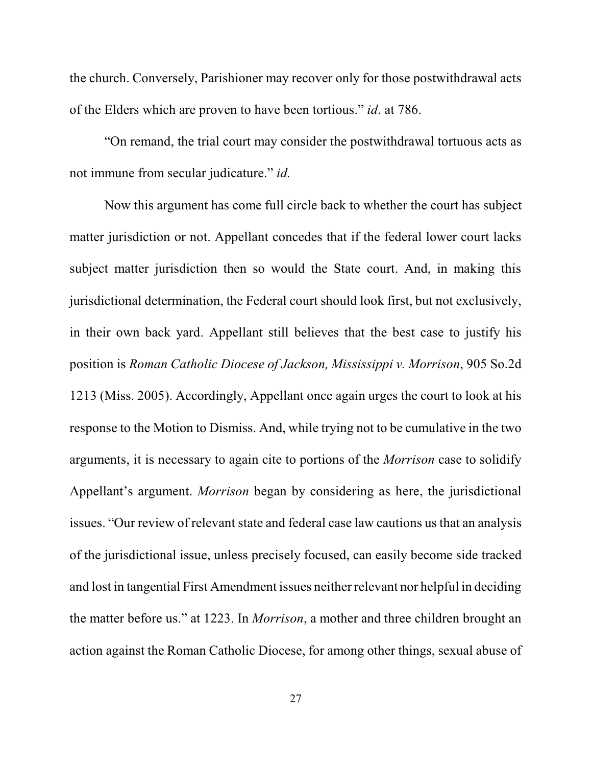the church. Conversely, Parishioner may recover only for those postwithdrawal acts of the Elders which are proven to have been tortious." *id*. at 786.

"On remand, the trial court may consider the postwithdrawal tortuous acts as not immune from secular judicature." *id.*

Now this argument has come full circle back to whether the court has subject matter jurisdiction or not. Appellant concedes that if the federal lower court lacks subject matter jurisdiction then so would the State court. And, in making this jurisdictional determination, the Federal court should look first, but not exclusively, in their own back yard. Appellant still believes that the best case to justify his position is *Roman Catholic Diocese of Jackson, Mississippi v. Morrison*, 905 So.2d 1213 (Miss. 2005). Accordingly, Appellant once again urges the court to look at his response to the Motion to Dismiss. And, while trying not to be cumulative in the two arguments, it is necessary to again cite to portions of the *Morrison* case to solidify Appellant's argument. *Morrison* began by considering as here, the jurisdictional issues. "Our review of relevant state and federal case law cautions us that an analysis of the jurisdictional issue, unless precisely focused, can easily become side tracked and lost in tangential First Amendment issues neither relevant nor helpful in deciding the matter before us." at 1223. In *Morrison*, a mother and three children brought an action against the Roman Catholic Diocese, for among other things, sexual abuse of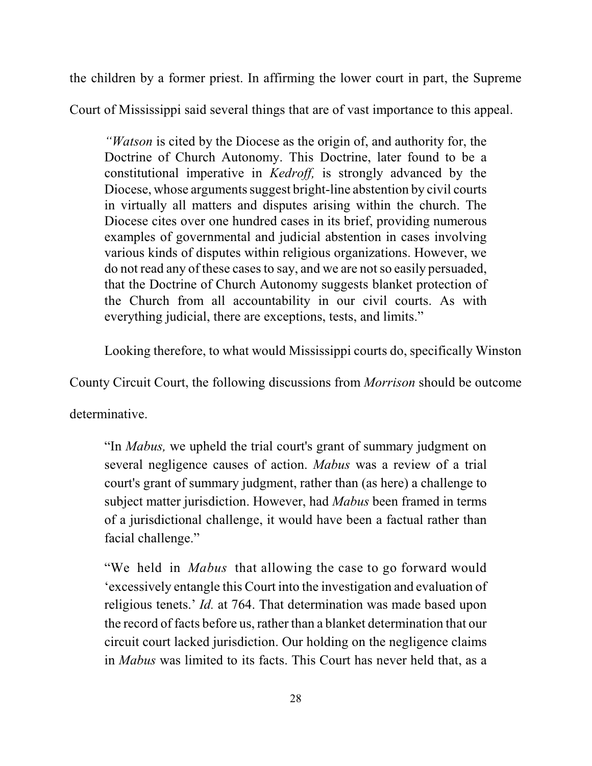the children by a former priest. In affirming the lower court in part, the Supreme

Court of Mississippi said several things that are of vast importance to this appeal.

*"Watson* is cited by the Diocese as the origin of, and authority for, the Doctrine of Church Autonomy. This Doctrine, later found to be a constitutional imperative in *Kedroff,* is strongly advanced by the Diocese, whose arguments suggest bright-line abstention by civil courts in virtually all matters and disputes arising within the church. The Diocese cites over one hundred cases in its brief, providing numerous examples of governmental and judicial abstention in cases involving various kinds of disputes within religious organizations. However, we do not read any of these casesto say, and we are notso easily persuaded, that the Doctrine of Church Autonomy suggests blanket protection of the Church from all accountability in our civil courts. As with everything judicial, there are exceptions, tests, and limits."

Looking therefore, to what would Mississippi courts do, specifically Winston

County Circuit Court, the following discussions from *Morrison* should be outcome

determinative.

"In *Mabus,* we upheld the trial court's grant of summary judgment on several negligence causes of action. *Mabus* was a review of a trial court's grant of summary judgment, rather than (as here) a challenge to subject matter jurisdiction. However, had *Mabus* been framed in terms of a jurisdictional challenge, it would have been a factual rather than facial challenge."

 "We held in *Mabus* that allowing the case to go forward would 'excessively entangle this Court into the investigation and evaluation of religious tenets.' *Id.* at 764. That determination was made based upon the record of facts before us, rather than a blanket determination that our circuit court lacked jurisdiction. Our holding on the negligence claims in *Mabus* was limited to its facts. This Court has never held that, as a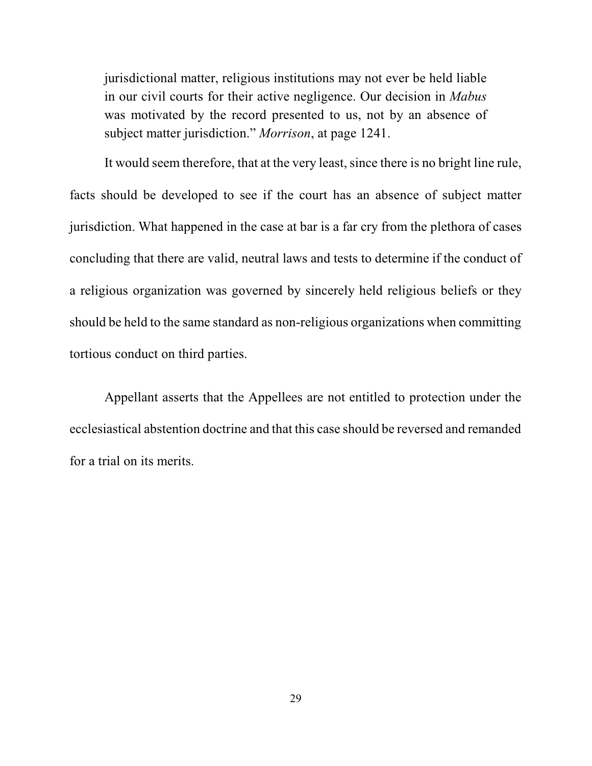jurisdictional matter, religious institutions may not ever be held liable in our civil courts for their active negligence. Our decision in *Mabus* was motivated by the record presented to us, not by an absence of subject matter jurisdiction." *Morrison*, at page 1241.

It would seem therefore, that at the very least, since there is no bright line rule, facts should be developed to see if the court has an absence of subject matter jurisdiction. What happened in the case at bar is a far cry from the plethora of cases concluding that there are valid, neutral laws and tests to determine if the conduct of a religious organization was governed by sincerely held religious beliefs or they should be held to the same standard as non-religious organizations when committing tortious conduct on third parties.

Appellant asserts that the Appellees are not entitled to protection under the ecclesiastical abstention doctrine and that this case should be reversed and remanded for a trial on its merits.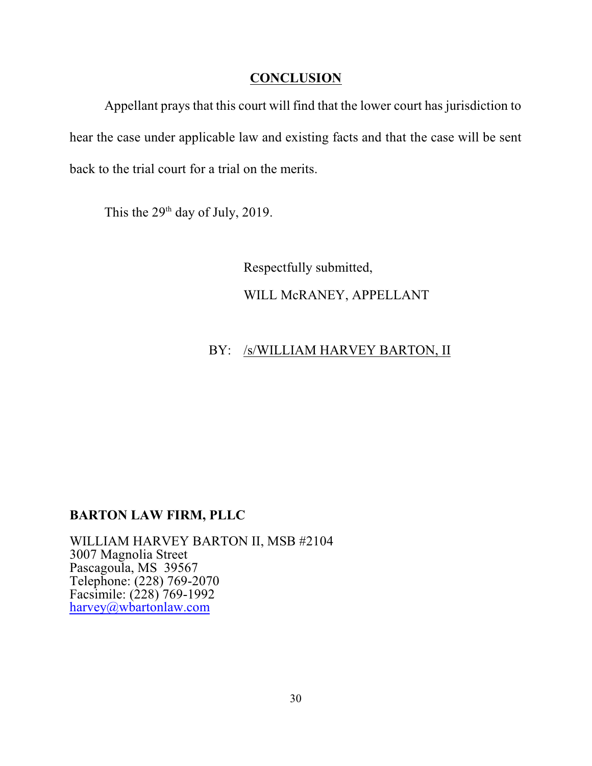### **CONCLUSION**

Appellant prays that this court will find that the lower court has jurisdiction to hear the case under applicable law and existing facts and that the case will be sent back to the trial court for a trial on the merits.

This the  $29<sup>th</sup>$  day of July, 2019.

Respectfully submitted, WILL McRANEY, APPELLANT

# BY: /s/WILLIAM HARVEY BARTON, II

# **BARTON LAW FIRM, PLLC**

WILLIAM HARVEY BARTON II, MSB #2104 3007 Magnolia Street Pascagoula, MS 39567 Telephone: (228) 769-2070 Facsimile: (228) 769-1992 [harvey@wbartonlaw.com](mailto:harvey@wbartonlaw.com.)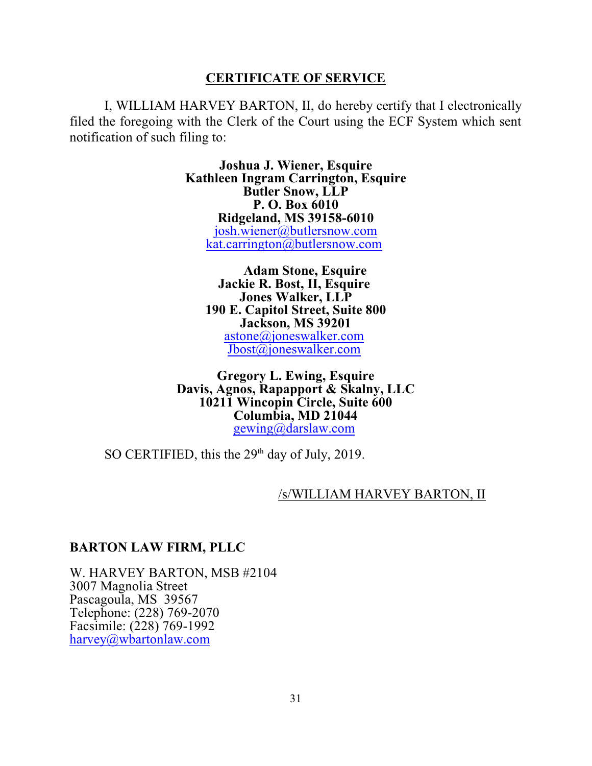### **CERTIFICATE OF SERVICE**

I, WILLIAM HARVEY BARTON, II, do hereby certify that I electronically filed the foregoing with the Clerk of the Court using the ECF System which sent notification of such filing to:

> **Joshua J. Wiener, Esquire Kathleen Ingram Carrington, Esquire Butler Snow, LLP P. O. Box 6010 Ridgeland, MS 39158-6010** [josh.wiener@butlersnow.com](mailto:josh.wiener@butlersnow.com) [kat.carrington@butlersnow.com](mailto:kat.carrington@butlersnow.com)

> > **Adam Stone, Esquire Jackie R. Bost, II, Esquire Jones Walker, LLP 190 E. Capitol Street, Suite 800 Jackson, MS 39201** [astone@joneswalker.com](mailto:astone@joneswalker.com) [Jbost@joneswalker.com](mailto:Jbost@joneswalker.com)

**Gregory L. Ewing, Esquire Davis, Agnos, Rapapport & Skalny, LLC 10211 Wincopin Circle, Suite 600 Columbia, MD 21044** [gewing@darslaw.com](mailto:gewing@darslaw.com)

SO CERTIFIED, this the  $29<sup>th</sup>$  day of July, 2019.

#### /s/WILLIAM HARVEY BARTON, II

#### **BARTON LAW FIRM, PLLC**

W. HARVEY BARTON, MSB #2104 3007 Magnolia Street Pascagoula, MS 39567 Telephone: (228) 769-2070 Facsimile: (228) 769-1992 [harvey@wbartonlaw.com](mailto:harvey@wbartonlaw.com.)